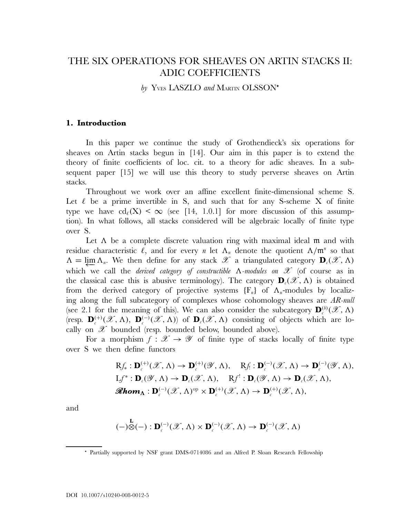# THE SIX OPERATIONS FOR SHEAVES ON ARTIN STACKS II: ADIC COEFFICIENTS

by Yves LASZLO and MARTIN OLSSON\*

## **1. Introduction**

In this paper we continue the study of Grothendieck's six operations for sheaves on Artin stacks begun in [14]. Our aim in this paper is to extend the theory of finite coefficients of loc. cit. to a theory for adic sheaves. In a subsequent paper [15] we will use this theory to study perverse sheaves on Artin stacks.

Throughout we work over an affine excellent finite-dimensional scheme S. Let  $\ell$  be a prime invertible in S, and such that for any S-scheme X of finite type we have  $\text{cd}_{\ell}(X) < \infty$  (see [14, 1.0.1] for more discussion of this assumption). In what follows, all stacks considered will be algebraic locally of finite type over S.

Let  $\Lambda$  be a complete discrete valuation ring with maximal ideal  $m$  and with residue characteristic  $\ell$ , and for every n let  $\Lambda_n$  denote the quotient  $\Lambda/\mathfrak{m}^n$  so that  $\Lambda = \varprojlim \Lambda_n$ . We then define for any stack  $\mathscr{X}$  a triangulated category  $\mathbf{D}_c(\mathscr{X}, \Lambda)$ which we call the *derived category of constructible* Λ*-modules on* X (of course as in the classical case this is abusive terminology). The category  $\mathbf{D}_c(\mathscr{X}, \Lambda)$  is obtained from the derived category of projective systems  ${F_n}$  of  $\Lambda_n$ -modules by localizing along the full subcategory of complexes whose cohomology sheaves are *AR-null* (see 2.1 for the meaning of this). We can also consider the subcategory  $\mathbf{D}_{c}^{(b)}(\mathscr{X}, \Lambda)$ (resp.  $\mathbf{D}_{\epsilon}^{(+)}(\mathscr{X}, \Lambda)$ ,  $\mathbf{D}_{\epsilon}^{(-)}(\mathscr{X}, \Lambda)$ ) of  $\mathbf{D}_{\epsilon}(\mathscr{X}, \Lambda)$  consisting of objects which are locally on  $\mathscr X$  bounded (resp. bounded below, bounded above).

For a morphism  $f: \mathcal{X} \to \mathcal{Y}$  of finite type of stacks locally of finite type over S we then define functors

$$
Rf_*: \mathbf{D}_{c}^{(+)}(\mathscr{X}, \Lambda) \to \mathbf{D}_{c}^{(+)}(\mathscr{Y}, \Lambda), \quad Rf_!: \mathbf{D}_{c}^{(-)}(\mathscr{X}, \Lambda) \to \mathbf{D}_{c}^{(-)}(\mathscr{Y}, \Lambda),
$$
  
\n
$$
Lf^*: \mathbf{D}_{c}(\mathscr{Y}, \Lambda) \to \mathbf{D}_{c}(\mathscr{X}, \Lambda), \quad Rf^!: \mathbf{D}_{c}(\mathscr{Y}, \Lambda) \to \mathbf{D}_{c}(\mathscr{X}, \Lambda),
$$
  
\n
$$
\mathscr{Rhom}_{\Lambda}: \mathbf{D}_{c}^{(-)}(\mathscr{X}, \Lambda)^{\mathrm{op}} \times \mathbf{D}_{c}^{(+)}(\mathscr{X}, \Lambda) \to \mathbf{D}_{c}^{(+)}(\mathscr{X}, \Lambda),
$$

and

$$
(-) \overset{\mathbf{L}}{\otimes} (-) : \mathbf{D}_{c}^{(-)}(\mathscr{X}, \Lambda) \times \mathbf{D}_{c}^{(-)}(\mathscr{X}, \Lambda) \to \mathbf{D}_{c}^{(-)}(\mathscr{X}, \Lambda)
$$

Partially supported by NSF grant DMS-0714086 and an Alfred P. Sloan Research Fellowship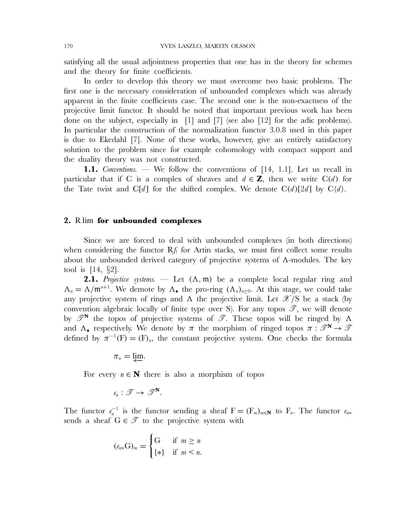satisfying all the usual adjointness properties that one has in the theory for schemes and the theory for finite coefficients.

In order to develop this theory we must overcome two basic problems. The first one is the necessary consideration of unbounded complexes which was already apparent in the finite coefficients case. The second one is the non-exactness of the projective limit functor. It should be noted that important previous work has been done on the subject, especially in [1] and [7] (see also [12] for the adic problems). In particular the construction of the normalization functor 3.0.8 used in this paper is due to Ekedahl [7]. None of these works, however, give an entirely satisfactory solution to the problem since for example cohomology with compact support and the duality theory was not constructed.

**1.1.** *Conventions.* — We follow the conventions of [14, 1.1]. Let us recall in particular that if C is a complex of sheaves and  $d \in \mathbf{Z}$ , then we write C(d) for the Tate twist and C[d] for the shifted complex. We denote  $C(d)[2d]$  by  $C(d)$ .

#### **2.** R lim **for unbounded complexes**

Since we are forced to deal with unbounded complexes (in both directions) when considering the functor  $Rf$  for Artin stacks, we must first collect some results about the unbounded derived category of projective systems of  $\Lambda$ -modules. The key tool is [14, §2].

**2.1.** *Projective systems.* — Let  $(\Lambda, \mathfrak{m})$  be a complete local regular ring and  $\Lambda_n = \Lambda/\mathfrak{m}^{n+1}$ . We demote by  $\Lambda_{\bullet}$  the pro-ring  $(\Lambda_n)_{n\geq 0}$ . At this stage, we could take any projective system of rings and  $\Lambda$  the projective limit. Let  $\mathscr{X}/S$  be a stack (by convention algebraic locally of finite type over S). For any topos  $\mathscr{T}$ , we will denote by  $\mathscr{T}^N$  the topos of projective systems of  $\mathscr{T}$ . These topos will be ringed by  $\Lambda$ and  $\Lambda$ , respectively. We denote by  $\pi$  the morphism of ringed topos  $\pi : \mathscr{T}^N \to \mathscr{T}$ defined by  $\pi^{-1}(F) = (F)_n$ , the constant projective system. One checks the formula

$$
\pi_*=\varprojlim.
$$

For every  $n \in \mathbb{N}$  there is also a morphism of topos

$$
\ell_n:\mathscr{T}\to\mathscr{T}^{\mathbf{N}}.
$$

The functor  $e_n^{-1}$  is the functor sending a sheaf  $F = (F_m)_{m \in \mathbb{N}}$  to  $F_n$ . The functor  $e_{n*}$ sends a sheaf  $G \in \mathcal{T}$  to the projective system with

$$
(e_{n*}\mathbf{G})_m = \begin{cases} \mathbf{G} & \text{if } m \ge n \\ \{*\} & \text{if } m < n. \end{cases}
$$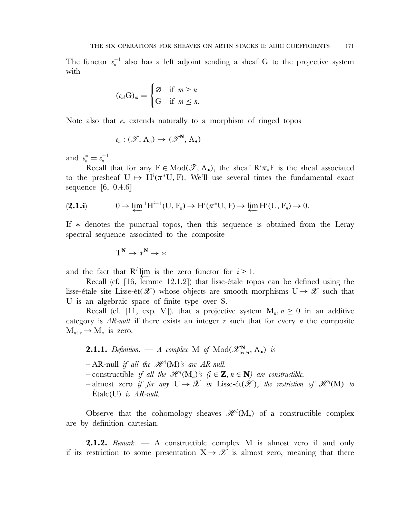The functor  $e_n^{-1}$  also has a left adjoint sending a sheaf G to the projective system with

$$
(\ell_{n!}G)_m = \begin{cases} \varnothing & \text{if } m > n \\ G & \text{if } m \leq n. \end{cases}
$$

Note also that  $e_n$  extends naturally to a morphism of ringed topos

$$
e_n: (\mathscr{T}, \Lambda_n) \to (\mathscr{T}^{\mathbf{N}}, \Lambda_{\bullet})
$$

and  $e_n^* = e_n^{-1}$ .

Recall that for any  $F \in Mod(\mathscr{T}, \Lambda_{\bullet})$ , the sheaf  $R^i \pi_* F$  is the sheaf associated to the presheaf  $U \mapsto H^{i}(\pi^*U, F)$ . We'll use several times the fundamental exact sequence [6, 0.4.6]

$$
(2.1.1) \t 0 \to \varprojlim {}^{1}H^{i-1}(U, F_n) \to H^{i}(\pi^{*}U, F) \to \varprojlim H^{i}(U, F_n) \to 0.
$$

If ∗ denotes the punctual topos, then this sequence is obtained from the Leray spectral sequence associated to the composite

$$
T^N \to *^N \to *
$$

and the fact that  $R^i$  lim is the zero functor for  $i>1$ .

Recall (cf.  $[16, \text{lemma } 12.1.2]$ ) that lisse-étale topos can be defined using the lisse-étale site Lisse-ét( $\mathscr X$ ) whose objects are smooth morphisms  $U\to\mathscr X$  such that U is an algebraic space of finite type over S.

Recall (cf. [11, exp. V]). that a projective system  $M_n$ ,  $n \geq 0$  in an additive category is  $AR-null$  if there exists an integer r such that for every n the composite  $M_{n+r} \to M_n$  is zero.

**2.1.1.** *Definition.* — *A complex* M *of*  $Mod(\mathscr{X}_{\text{lis-\'et}}^N, \Lambda_{\bullet})$  *is* 

- $-AR$ -null *if all the*  $\mathscr{H}^i(M)$ *'s are AR-null.*
- $-$  constructible *if all the*  $\mathscr{H}^i(M_n)$ 's  $(i \in \mathbb{Z}, n \in \mathbb{N})$  are constructible.
- $-$  almost zero *if for any*  $U \rightarrow \mathscr{X}$  *in* Lisse-ét $(\mathscr{X})$ *, the restriction of*  $\mathscr{H}^i(M)$  *to* Étale(U) *is AR-null.*

Observe that the cohomology sheaves  $\mathscr{H}^i(M_n)$  of a constructible complex are by definition cartesian.

**2.1.2.** *Remark.* — A constructible complex M is almost zero if and only if its restriction to some presentation  $X \rightarrow \mathcal{X}$  is almost zero, meaning that there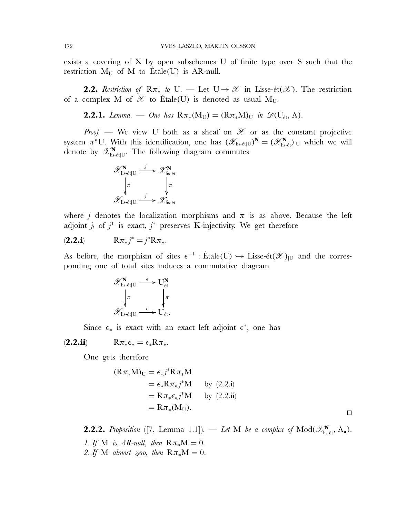exists a covering of X by open subschemes U of finite type over S such that the restriction  $M_U$  of M to Etale(U) is AR-null.

**2.2.** *Restriction of*  $R\pi_*$  *to* U<sub>i</sub>. — Let  $U \rightarrow \mathscr{X}$  in Lisse-ét( $\mathscr{X}$ ). The restriction of a complex M of  $\mathscr X$  to Étale(U) is denoted as usual M<sub>U</sub>.

**2.2.1.** *Lemma.* — *One has*  $R\pi_*(M_U) = (R\pi_*M)_U$  *in*  $\mathscr{D}(U_{\text{\'et}}, \Lambda)$ *.* 

*Proof.* — We view U both as a sheaf on  $\mathscr X$  or as the constant projective system  $\pi^*U$ . With this identification, one has  $(\mathscr{X}_{\text{lis-\'et}|U})^N = (\mathscr{X}_{\text{lis-\'et}}^N)_{|U}$  which we will denote by  $\mathscr{X}_{\textrm{lis-\'et}|U}^{\mathbf{N}}$ . The following diagram commutes



where j denotes the localization morphisms and  $\pi$  is as above. Because the left adjoint  $j_!$  of  $j^*$  is exact,  $j^*$  preserves K-injectivity. We get therefore

$$
(\mathbf{2.2.i}) \qquad R\pi_*j^* = j^*R\pi_*.
$$

As before, the morphism of sites  $\epsilon^{-1}$ : Étale(U)  $\hookrightarrow$  Lisse-ét( $\mathscr{X})_{|U}$  and the corresponding one of total sites induces a commutative diagram

$$
\mathscr{X}_{\mathrm{lis\text{-}\acute{e}t|U}}^{\mathbf{N}} \xrightarrow[\pi]{\epsilon} U_{\mathrm{\acute{e}t}}^{\mathbf{N}} \\ \downarrow^{\pi} \qquad \qquad \downarrow^{\pi} \\ \mathscr{X}_{\mathrm{lis\text{-}\acute{e}t|U}} \xrightarrow{\epsilon} U_{\mathrm{\acute{e}t}}.
$$

Since  $\epsilon_*$  is exact with an exact left adjoint  $\epsilon^*$ , one has

 $(2.2.ii)$   $R\pi_*\epsilon_* = \epsilon_* R\pi_*$ .

One gets therefore

$$
(\mathbf{R}\pi_*\mathbf{M})_{\mathbf{U}} = \epsilon_* j^* \mathbf{R}\pi_* \mathbf{M}
$$
  
\n
$$
= \epsilon_* \mathbf{R}\pi_* j^* \mathbf{M} \qquad \text{by (2.2.i)}
$$
  
\n
$$
= \mathbf{R}\pi_* \epsilon_* j^* \mathbf{M} \qquad \text{by (2.2.ii)}
$$
  
\n
$$
= \mathbf{R}\pi_* (\mathbf{M}_{\mathbf{U}}).
$$

**2.2.2.** *Proposition* ([7, Lemma 1.1]). — *Let* M *be a complex of*  $Mod(\mathcal{X}_{\text{lis-\'et}}^N, \Lambda_{\bullet})$ . *1. If* M *is AR-null, then*  $R\pi_*M = 0$ . 2. If M *almost zero, then*  $R\pi_*M = 0$ .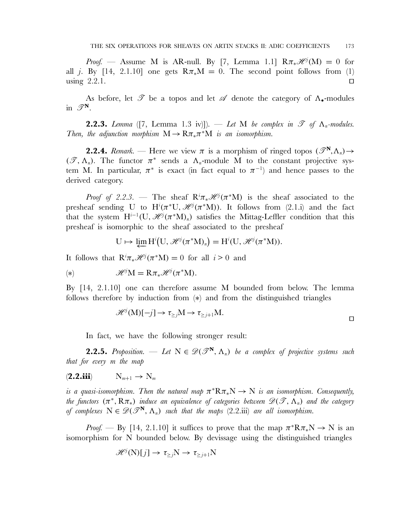*Proof.* — Assume M is AR-null. By [7, Lemma 1.1]  $R\pi_*\mathscr{H}^j(M) = 0$  for all j. By [14, 2.1.10] one gets  $R\pi_*\mathbf{M} = 0$ . The second point follows from (1) using  $2.2.1.$ 

As before, let  $\mathscr T$  be a topos and let  $\mathscr A$  denote the category of  $\Lambda_{\bullet}$ -modules in  $\mathscr{T}^N$ .

**2.2.3.** *Lemma* ([7, Lemma 1.3 iv)]). — Let M be complex in  $\mathscr T$  of  $\Lambda_n$ -modules. *Then, the adjunction morphism*  $M \to R\pi_*\pi^*M$  *is an isomorphism.* 

**2.2.4.** *Remark.* — Here we view  $\pi$  is a morphism of ringed topos  $(\mathscr{T}^N,\Lambda_n) \rightarrow$  $(\mathscr{T}, \Lambda_n)$ . The functor  $\pi^*$  sends a  $\Lambda_n$ -module M to the constant projective system M. In particular,  $\pi^*$  is exact (in fact equal to  $\pi^{-1}$ ) and hence passes to the derived category.

*Proof of 2.2.3.* — The sheaf  $R^i \pi_* \mathcal{H}^j(\pi^* M)$  is the sheaf associated to the presheaf sending U to  $H^{i}(\pi^{*}U, \mathcal{H}^{j}(\pi^{*}M))$ . It follows from (2.1.i) and the fact that the system  $H^{i-1}(U, \mathcal{H}^j(\pi^*M)_n)$  satisfies the Mittag-Leffler condition that this presheaf is isomorphic to the sheaf associated to the presheaf

$$
U \mapsto \varprojlim H^{i}(U, \mathscr{H}^{j}(\pi^{*}M)_{n}) = H^{i}(U, \mathscr{H}^{j}(\pi^{*}M)).
$$

It follows that  $\mathbb{R}^i \pi_* \mathcal{H}^j(\pi^* \mathbf{M}) = 0$  for all  $i > 0$  and

(\*)  $\mathscr{H}^j M = R \pi_* \mathscr{H}^j (\pi^* M).$ 

By [14, 2.1.10] one can therefore assume M bounded from below. The lemma follows therefore by induction from  $(*)$  and from the distinguished triangles

$$
\mathcal{H}^j(M)[-j] \to \tau_{\geq j}M \to \tau_{\geq j+1}M.
$$

In fact, we have the following stronger result:

**2.2.5.** *Proposition.* — Let  $N \in \mathcal{D}(\mathcal{F}^N, \Lambda_n)$  be a complex of projective systems such *that for every* m *the map*

 $(2.2.iii) \t N_{m+1} \rightarrow N_m$ 

*is a quasi-isomorphism. Then the natural map*  $\pi^* R \pi_* N \to N$  *is an isomorphism. Consequently, the functors*  $(\pi^*, R\pi_*)$  *induce an equivalence of categories between*  $\mathscr{D}(\mathscr{T}, \Lambda_n)$  *and the category of complexes*  $N \in \mathscr{D}(\mathscr{T}^N, \Lambda_n)$  *such that the maps* (2.2.iii) *are all isomorphism.* 

*Proof.* — By [14, 2.1.10] it suffices to prove that the map  $\pi^*R\pi_*N \to N$  is an isomorphism for N bounded below. By devissage using the distinguished triangles

$$
\mathscr{H}^j(N)[j] \to \tau_{\geq j} N \to \tau_{\geq j+1} N
$$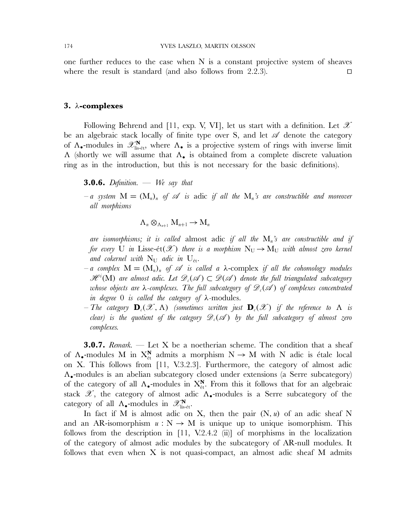one further reduces to the case when  $N$  is a constant projective system of sheaves where the result is standard (and also follows from 2.2.3).  $\square$ 

#### **3.** λ**-complexes**

Following Behrend and [11, exp. V, VI], let us start with a definition. Let  $\mathscr X$ be an algebraic stack locally of finite type over S, and let  $\mathscr A$  denote the category of  $\Lambda_{\bullet}$ -modules in  $\mathscr{X}_{\text{lis-\'et}}^{\mathbf{N}}$ , where  $\Lambda_{\bullet}$  is a projective system of rings with inverse limit Λ (shortly we will assume that Λ• is obtained from a complete discrete valuation ring as in the introduction, but this is not necessary for the basic definitions).

**3.0.6.** *Definition.* — *We say that*

 $-a$  system  $M = (M_n)_n$  of  $\mathscr A$  is adic if all the  $M_n$ 's are constructible and moreover *all morphisms*

$$
\Lambda_n \otimes_{\Lambda_{n+1}} M_{n+1} \to M_n
$$

*are isomorphisms; it is called* almost adic *if all the* Mn*'s are constructible and if for every* U *in* Lisse-ét( $\mathscr{X}$ ) *there is a morphism*  $N_U \rightarrow M_U$  *with almost zero kernel* and cokernel with  $N_U$  adic in  $U_{\text{\'et}}$ .

- $-a$  complex  $M = (M_n)_n$  of  $\mathscr A$  *is called a*  $\lambda$ -complex *if all the cohomology modules*  $\mathscr{H}^i(M)$  are almost adic. Let  $\mathscr{D}_c(\mathscr{A})\subset \mathscr{D}(\mathscr{A})$  denote the full triangulated subcategory *whose objects are* λ-complexes. The full subcategory of  $\mathscr{D}_c(\mathscr{A})$  of complexes concentrated *in degree* 0 *is called the category of* λ*-*modules*.*
- $-$  The category  $\mathbf{D}_c(\mathscr{X}, \Lambda)$  *(sometimes written just*  $\mathbf{D}_c(\mathscr{X})$  *if the reference to*  $\Lambda$  *is clear)* is the quotient of the category  $\mathscr{D}_c(\mathscr{A})$  by the full subcategory of almost zero *complexes.*

**3.0.7.** *Remark.* — Let X be a noetherian scheme. The condition that a sheaf of  $\Lambda_{\bullet}$ -modules M in  $X_{\text{\'et}}^{\mathbf{N}}$  admits a morphism  $N \to M$  with N adic is étale local on X. This follows from [11, V.3.2.3]. Furthermore, the category of almost adic Λ•-modules is an abelian subcategory closed under extensions (a Serre subcategory) of the category of all  $\Lambda_{\bullet}$ -modules in  $X_{\text{\'et}}^{N}$ . From this it follows that for an algebraic stack  $\mathscr{X}$ , the category of almost adic  $\Lambda_{\bullet}$ -modules is a Serre subcategory of the category of all  $\Lambda_{\bullet}$ -modules in  $\mathscr{X}_{\text{lis-\'et}}^{\mathbf{N}}$ .

In fact if M is almost adic on X, then the pair  $(N, u)$  of an adic sheaf N and an AR-isomorphism  $u : N \to M$  is unique up to unique isomorphism. This follows from the description in [11, V.2.4.2 (ii)] of morphisms in the localization of the category of almost adic modules by the subcategory of AR-null modules. It follows that even when  $X$  is not quasi-compact, an almost adic sheaf  $M$  admits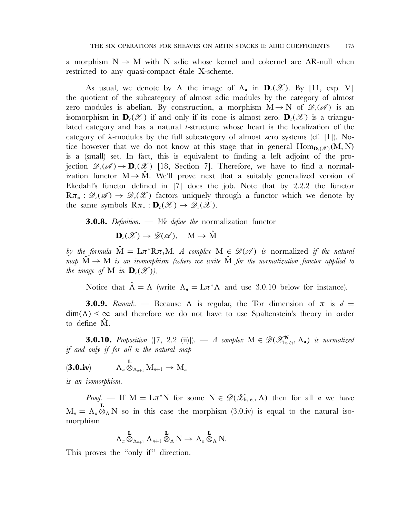a morphism  $N \to M$  with N adic whose kernel and cokernel are AR-null when restricted to any quasi-compact étale  $X$ -scheme.

As usual, we denote by  $\Lambda$  the image of  $\Lambda_{\bullet}$  in  $\mathbf{D}_{c}(\mathscr{X})$ . By [11, exp. V] the quotient of the subcategory of almost adic modules by the category of almost zero modules is abelian. By construction, a morphism  $M \to N$  of  $\mathscr{D}_{\varepsilon}(\mathscr{A})$  is an isomorphism in  $\mathbf{D}_c(\mathscr{X})$  if and only if its cone is almost zero.  $\mathbf{D}_c(\mathscr{X})$  is a triangulated category and has a natural t-structure whose heart is the localization of the category of  $\lambda$ -modules by the full subcategory of almost zero systems (cf. [1]). Notice however that we do not know at this stage that in general  $\text{Hom}_{\mathbf{D}_c(\mathcal{X})}(M, N)$ is a (small) set. In fact, this is equivalent to finding a left adjoint of the projection  $\mathscr{D}_{c}(\mathscr{A}) \to \mathbf{D}_{c}(\mathscr{X})$  [18, Section 7]. Therefore, we have to find a normalization functor  $M \rightarrow \tilde{M}$ . We'll prove next that a suitably generalized version of Ekedahl's functor defined in [7] does the job. Note that by 2.2.2 the functor  $R\pi_* : \mathscr{D}_c(\mathscr{A}) \to \mathscr{D}_c(\mathscr{X})$  factors uniquely through a functor which we denote by the same symbols  $\mathbb{R}\pi_* : \mathbf{D}_c(\mathscr{X}) \to \mathscr{D}_c(\mathscr{X})$ .

**3.0.8.** *Definition.* — *We define the* normalization functor

$$
\mathbf{D}_{\iota}(\mathscr{X}) \to \mathscr{D}(\mathscr{A}), \quad M \mapsto \hat{M}
$$

*by the formula*  $\hat{M} = L\pi^* R \pi_* M$ . A complex  $M \in \mathcal{D}(\mathcal{A})$  is normalized if the natural *map*  $\dot{M} \rightarrow M$  *is an isomorphism (where we write*  $\dot{M}$  *for the normalization functor applied to the image of* M *in*  $\mathbf{D}_c(\mathscr{X})$ *).* 

Notice that  $\hat{\Lambda} = \Lambda$  (write  $\Lambda_{\bullet} = L\pi^*\Lambda$  and use 3.0.10 below for instance).

**3.0.9.** *Remark.* — Because  $\Lambda$  is regular, the Tor dimension of  $\pi$  is  $d =$  $\dim(A) < \infty$  and therefore we do not have to use Spaltenstein's theory in order to define  $\hat{M}$ .

**3.0.10.** Proposition ([7, 2.2 (ii)]). — *A* complex  $M \in \mathscr{D}(\mathscr{X}_{\text{lis-\'et}}^N, \Lambda_{\bullet})$  is normalized *if and only if for all* n *the natural map*

$$
(\mathbf{3.0.i}\mathbf{v}) \qquad \Lambda_n \overset{\mathbf{L}}{\otimes}_{\Lambda_{n+1}} M_{n+1} \to M_n
$$

*is an isomorphism.*

*Proof.* — If  $M = L\pi^*N$  for some  $N \in \mathcal{D}(\mathcal{X}_{\text{lis-\'et}}, \Lambda)$  then for all *n* we have  $M_n = \Lambda_n \otimes_{\Lambda} N$  so in this case the morphism (3.0.iv) is equal to the natural isomorphism

$$
\Lambda_n \overset{\mathbf{L}}{\otimes}_{\Lambda_{n+1}} \Lambda_{n+1} \overset{\mathbf{L}}{\otimes}_{\Lambda} N \to \Lambda_n \overset{\mathbf{L}}{\otimes}_{\Lambda} N.
$$

This proves the "only if" direction.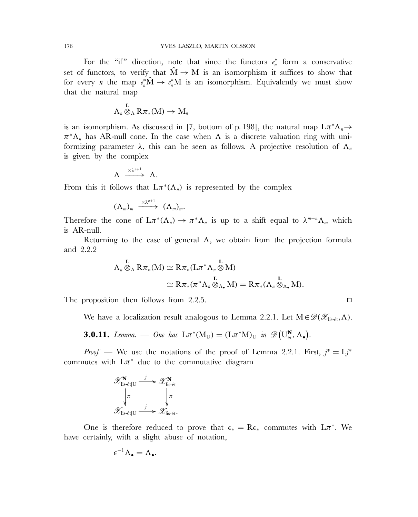For the "if" direction, note that since the functors  $e_n^*$  form a conservative set of functors, to verify that  $\hat{M} \rightarrow M$  is an isomorphism it suffices to show that for every *n* the map  $e_n^*\hat{M} \to e_n^*M$  is an isomorphism. Equivalently we must show that the natural map

$$
\Lambda_{\scriptscriptstyle n} \overset{{\bf L}}{\otimes}_{\Lambda} R\pi_*(M) \to M_{\scriptscriptstyle n}
$$

is an isomorphism. As discussed in [7, bottom of p. 198], the natural map  $L\pi^*\Lambda_n \to$  $\pi^*\Lambda_n$  has AR-null cone. In the case when  $\Lambda$  is a discrete valuation ring with uniformizing parameter  $\lambda$ , this can be seen as follows. A projective resolution of  $\Lambda_n$ is given by the complex

$$
\Lambda \xrightarrow{\times \lambda^{n+1}} \Lambda.
$$

From this it follows that  $L\pi^*(\Lambda_n)$  is represented by the complex

$$
(\Lambda_m)_m \xrightarrow{\times \lambda^{n+1}} (\Lambda_m)_m.
$$

Therefore the cone of  $L\pi^*(\Lambda_n) \to \pi^*\Lambda_n$  is up to a shift equal to  $\lambda^{m-n}\Lambda_m$  which is AR-null.

Returning to the case of general  $\Lambda$ , we obtain from the projection formula and 2.2.2

$$
\Lambda_n \overset{\mathbf{L}}{\otimes}_{\Lambda} R \pi_*(M) \simeq R \pi_*(L \pi^* \Lambda_n \overset{\mathbf{L}}{\otimes} M)
$$
  

$$
\simeq R \pi_*(\pi^* \Lambda_n \overset{\mathbf{L}}{\otimes}_{\Lambda_{\bullet}} M) = R \pi_*(\Lambda_n \overset{\mathbf{L}}{\otimes}_{\Lambda_{\bullet}} M).
$$

The proposition then follows from 2.2.5.  $\Box$ 

We have a localization result analogous to Lemma 2.2.1. Let  $M \in \mathscr{D}(\mathscr{X}_{\text{lis-\'et}},\Lambda)$ .

**3.0.11.** *Lemma.* — *One has*  $L\pi^*(M_U) = (L\pi^*M)_U$  *in*  $\mathscr{D}(U_{\text{\'et}}^N, \Lambda_{\bullet}).$ 

*Proof.* — We use the notations of the proof of Lemma 2.2.1. First,  $j^* = Lj^*$ commutes with  $L\pi^*$  due to the commutative diagram

$$
\mathscr{X}_{\text{lis-\'et}|U}^{\mathbf{N}} \xrightarrow{j} \mathscr{X}_{\text{lis-\'et}}^{\mathbf{N}} \\ \downarrow_{\pi} \\ \mathscr{X}_{\text{lis-\'et}|U} \xrightarrow{j} \mathscr{X}_{\text{lis-\'et}}^{\mathbf{N}}.
$$

One is therefore reduced to prove that  $\epsilon_* = \text{Re}_*$  commutes with  $L\pi^*$ . We have certainly, with a slight abuse of notation,

$$
\epsilon^{-1}\Lambda_{\bullet}=\Lambda_{\bullet}.
$$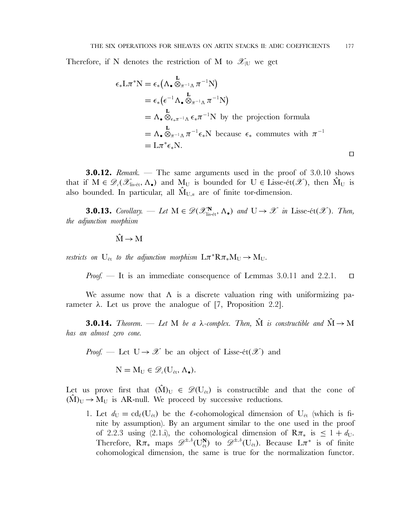Therefore, if N denotes the restriction of M to  $\mathscr{X}_{|U}$  we get

$$
\epsilon_* \mathbf{L} \pi^* \mathbf{N} = \epsilon_* \left( \Lambda_{\bullet} \mathbf{L}_{\pi^{-1} \Lambda} \pi^{-1} \mathbf{N} \right)
$$
  
\n
$$
= \epsilon_* \left( \epsilon^{-1} \Lambda_{\bullet} \mathbf{L}_{\pi^{-1} \Lambda} \pi^{-1} \mathbf{N} \right)
$$
  
\n
$$
= \Lambda_{\bullet} \mathbf{L}_{\epsilon_* \pi^{-1} \Lambda} \epsilon_* \pi^{-1} \mathbf{N} \text{ by the projection formula}
$$
  
\n
$$
= \Lambda_{\bullet} \mathbf{L}_{\pi^{-1} \Lambda} \pi^{-1} \epsilon_* \mathbf{N} \text{ because } \epsilon_* \text{ commutes with } \pi^{-1}
$$
  
\n
$$
= \mathbf{L} \pi^* \epsilon_* \mathbf{N}.
$$

**3.0.12.** *Remark.* — The same arguments used in the proof of 3.0.10 shows that if  $M \in \mathcal{D}_{\epsilon}(\mathcal{X}_{\text{lis-\'et}}, \Lambda_{\bullet})$  and  $M_U$  is bounded for  $U \in \text{Lisse-\'et}(\mathcal{X})$ , then  $M_U$  is also bounded. In particular, all  $\hat{M}_{U,n}$  are of finite tor-dimension.

**3.0.13.** *Corollary.* — *Let*  $M \in \mathscr{D}(\mathscr{X}_{\text{lis-\'et}}^N, \Lambda_{\bullet})$  *and*  $U \rightarrow \mathscr{X}$  *in* Lisse-ét( $\mathscr{X}$ )*. Then, the adjunction morphism*

$$
\hat{M} \to M
$$

*restricts on*  $U_{\text{\'et}}$  *to the adjunction morphism*  $L\pi^*R\pi_*M_U \to M_U$ .

*Proof.* — It is an immediate consequence of Lemmas 3.0.11 and 2.2.1.  $\square$ 

We assume now that  $\Lambda$  is a discrete valuation ring with uniformizing parameter λ. Let us prove the analogue of [7, Proposition 2.2].

**3.0.14.** *Theorem.* — Let M be a  $\lambda$ -complex. Then,  $\hat{M}$  is constructible and  $\hat{M} \rightarrow M$ *has an almost zero cone.*

*Proof.* — Let  $U \rightarrow \mathcal{X}$  be an object of Lisse-ét $(\mathcal{X})$  and

 $N = M_{\text{U}} \in \mathscr{D}_{c}(U_{\text{\'et}}, \Lambda_{\bullet}).$ 

Let us prove first that  $(M)_{U} \in \mathscr{D}(U_{\acute{e}t})$  is constructible and that the cone of  $(M)_U \rightarrow M_U$  is AR-null. We proceed by successive reductions.

1. Let  $d_U = \text{cd}_{\ell}(U_{\text{\'et}})$  be the  $\ell$ -cohomological dimension of  $U_{\text{\'et}}$  (which is finite by assumption). By an argument similar to the one used in the proof of 2.2.3 using (2.1.i), the cohomological dimension of  $R\pi_{*}$  is  $\leq 1 + d_{U}$ . Therefore,  $R\pi_*$  maps  $\mathscr{D}^{\pm, b}(U_{\text{\'et}}^N)$  to  $\mathscr{D}^{\pm, b}(U_{\text{\'et}})$ . Because  $L\pi^*$  is of finite cohomological dimension, the same is true for the normalization functor.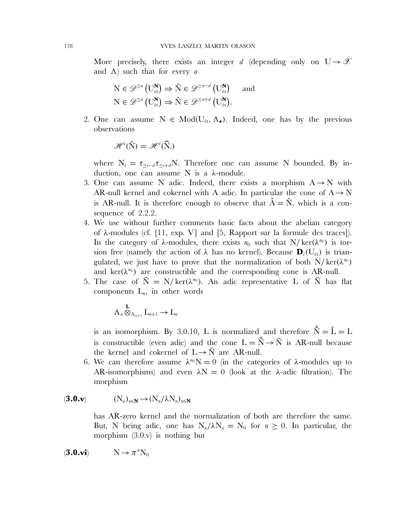More precisely, there exists an integer d (depending only on  $U \rightarrow \mathcal{X}$ and  $\Lambda$ ) such that for every a

$$
N \in \mathscr{D}^{\ge a} (U_{\text{\'et}}^{\mathbf{N}}) \Rightarrow \hat{N} \in \mathscr{D}^{\ge a-d} (U_{\text{\'et}}^{\mathbf{N}}) \text{ and }
$$
  

$$
N \in \mathscr{D}^{\le a} (U_{\text{\'et}}^{\mathbf{N}}) \Rightarrow \hat{N} \in \mathscr{D}^{\le a+d} (U_{\text{\'et}}^{\mathbf{N}}).
$$

2. One can assume  $N \in Mod(U_{\acute{e}t}, \Lambda_{\bullet})$ . Indeed, one has by the previous observations

$$
\mathscr{H}^i(\hat{N})=\mathscr{H}^i(\widehat{N}_i)
$$

where  $N_i = \tau_{\geq i-d} \tau_{\leq i+d} N$ . Therefore one can assume N bounded. By induction, one can assume N is a  $λ$ -module.

- 3. One can assume N adic. Indeed, there exists a morphism  $A \rightarrow N$  with AR-null kernel and cokernel with A adic. In particular the cone of  $A \rightarrow N$ is AR-null. It is therefore enough to observe that  $\hat{A} = \hat{N}$ , which is a consequence of 2.2.2.
- 4. We use without further comments basic facts about the abelian category of  $\lambda$ -modules (cf. [11, exp. V] and [5, Rapport sur la formule des traces]). In the category of  $\lambda$ -modules, there exists  $n_0$  such that N/ $\text{ker}(\lambda^{n_0})$  is torsion free (namely the action of  $\lambda$  has no kernel). Because  $\mathbf{D}_{c}(U_{\text{\'et}})$  is triangulated, we just have to prove that the normalization of both  $N/\text{ker}(\lambda^{n_0})$ and ker( $\lambda^{n_0}$ ) are constructible and the corresponding cone is AR-null.
- 5. The case of  $\overline{N} = N/ker(\lambda^{n_0})$ . An adic representative L of  $\overline{N}$  has flat components  $L_n$ , in other words

$$
\Lambda_n\overset{\mathbf{L}}{\otimes}_{\Lambda_{n+1}}L_{n+1}\to L_n
$$

is an isomorphism. By 3.0.10, L is normalized and therefore  $\hat{N} = \hat{L} = L$ is constructible (even adic) and the cone  $L = \hat{N} \rightarrow \bar{N}$  is AR-null because the kernel and cokernel of  $L \rightarrow \overline{N}$  are AR-null.

6. We can therefore assume  $\lambda^{n_0}N = 0$  (in the categories of  $\lambda$ -modules up to AR-isomorphisms) and even  $\lambda N = 0$  (look at the  $\lambda$ -adic filtration). The morphism

$$
(\mathbf{3.0. v}) \qquad (\mathbf{N}_n)_{n \in \mathbf{N}} \to (\mathbf{N}_n / \lambda \mathbf{N}_n)_{n \in \mathbf{N}}
$$

has AR-zero kernel and the normalization of both are therefore the same. But, N being adic, one has  $N_n/\lambda N_n = N_0$  for  $n \geq 0$ . In particular, the morphism (3.0.v) is nothing but

$$
(\mathbf{3.0.vi}) \hspace{1cm} N \rightarrow \pi^*N_0
$$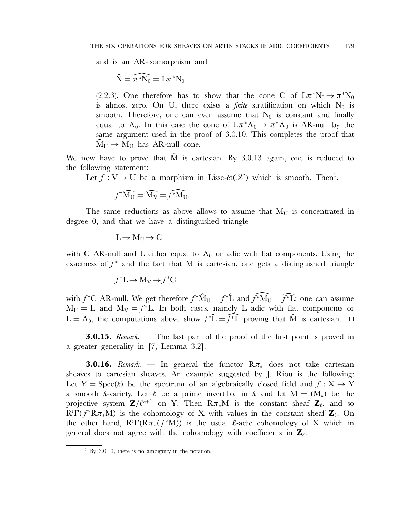and is an AR-isomorphism and

$$
\hat{N} = \widehat{\pi^*N_0} = L\pi^*N_0
$$

(2.2.3). One therefore has to show that the cone C of  $L\pi^*N_0 \to \pi^*N_0$ is almost zero. On U, there exists a *finite* stratification on which  $N_0$  is smooth. Therefore, one can even assume that  $N_0$  is constant and finally equal to  $\Lambda_0$ . In this case the cone of  $L\pi^*\Lambda_0 \to \pi^*\Lambda_0$  is AR-null by the same argument used in the proof of 3.0.10. This completes the proof that  $\widehat{\mathrm{M}}_{\mathrm{U}} \rightarrow \mathrm{M}_{\mathrm{U}}$  has AR-null cone.

We now have to prove that  $\hat{M}$  is cartesian. By 3.0.13 again, one is reduced to the following statement:

Let  $f: V \to U$  be a morphism in Lisse-ét $(\mathscr{X})$  which is smooth. Then<sup>1</sup>,

$$
f^*\widehat{M_U} = \widehat{M_V} = \widehat{f^*M_U}.
$$

The same reductions as above allows to assume that  $M_U$  is concentrated in degree 0, and that we have a distinguished triangle

$$
L\!\to\! M_U\!\to C
$$

with C AR-null and L either equal to  $\Lambda_0$  or adic with flat components. Using the exactness of  $f^*$  and the fact that M is cartesian, one gets a distinguished triangle

$$
f^*L \to M_V \to f^*C
$$

with  $f^*C$  AR-null. We get therefore  $f^*\hat{M}_U = f^*\hat{L}$  and  $\widehat{f^*M_U} = \widehat{f^*L}$ : one can assume  $M_U = L$  and  $M_V = f^*L$ . In both cases, namely L adic with flat components or  $L = \Lambda_0$ , the computations above show  $f^* \hat{L} = \hat{f}^* \hat{L}$  proving that  $\hat{M}$  is cartesian.  $\Box$ 

**3.0.15.** *Remark.* — The last part of the proof of the first point is proved in a greater generality in [7, Lemma 3.2].

**3.0.16.** *Remark.* — In general the functor  $R\pi_*$  does not take cartesian sheaves to cartesian sheaves. An example suggested by J. Riou is the following: Let  $Y = \text{Spec}(k)$  be the spectrum of an algebraically closed field and  $f : X \to Y$ a smooth k-variety. Let  $\ell$  be a prime invertible in k and let  $M = (M_n)$  be the projective system  $\mathbf{Z}/\ell^{n+1}$  on Y. Then  $\mathsf{R}\pi_*\mathsf{M}$  is the constant sheaf  $\mathbf{Z}_\ell$ , and so  $R^i \Gamma(f^* R \pi_* M)$  is the cohomology of X with values in the constant sheaf  $\mathbf{Z}_{\ell}$ . On the other hand,  $R^i\Gamma(R\pi_*(f^*M))$  is the usual  $\ell$ -adic cohomology of X which in general does not agree with the cohomology with coefficients in **Z**-.

 $1$  By 3.0.13, there is no ambiguity in the notation.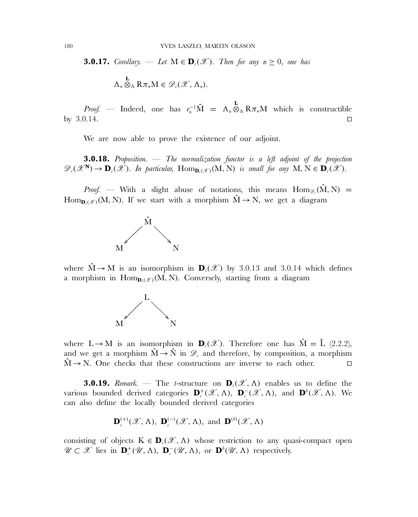**3.0.17.** *Corollary.* — *Let*  $M \in \mathbf{D}_c(\mathcal{X})$ *. Then for any*  $n \geq 0$ *, one has*  $\Lambda_n \otimes_{\Lambda} \mathbf{R} \pi_* \mathbf{M} \in \mathscr{D}_c(\mathscr{X}, \Lambda_n).$ 

*Proof.* — Indeed, one has  $e_n^{-1}\hat{M} = \Lambda_n \otimes_{\Lambda} R \pi_* M$  which is constructible by 3.0.14. 

We are now able to prove the existence of our adjoint.

**3.0.18.** *Proposition.* — *The normalization functor is a left adjoint of the projection*  $\mathscr{D}_{c}(\mathscr{X}^{\mathbf{N}}) \to \mathbf{D}_{c}(\mathscr{X})$ *. In particular,* Hom $_{\mathbf{D}_{c}(\mathscr{X})}(M, N)$  *is small for any*  $M, N \in \mathbf{D}_{c}(\mathscr{X})$ *.* 

*Proof.* — With a slight abuse of notations, this means  $\text{Hom}_{\mathscr{D}_a}(\hat{M}, N)$  = Hom<sub>p.(2)</sub>(M, N). If we start with a morphism  $\hat{M} \rightarrow N$ , we get a diagram



where  $\hat{M} \rightarrow M$  is an isomorphism in  $\mathbf{D}_{c}(\mathscr{X})$  by 3.0.13 and 3.0.14 which defines a morphism in  $Hom_{D_{\ell}(\mathcal{X})}(M, N)$ . Conversely, starting from a diagram



where  $L \rightarrow M$  is an isomorphism in  $\mathbf{D}_{\ell}(\mathscr{X})$ . Therefore one has  $\hat{M} = \hat{L}$  (2.2.2), and we get a morphism  $\hat{M} \rightarrow \hat{N}$  in  $\mathscr{D}_{c}$  and therefore, by composition, a morphism  $\hat{M} \rightarrow N$ . One checks that these constructions are inverse to each other.

**3.0.19.** *Remark.* — The *t*-structure on  $\mathbf{D}_c(\mathcal{X}, \Lambda)$  enables us to define the various bounded derived categories  $\mathbf{D}_{c}^{+}(\mathscr{X}, \Lambda)$ ,  $\mathbf{D}_{c}^{-}(\mathscr{X}, \Lambda)$ , and  $\mathbf{D}^{b}(\mathscr{X}, \Lambda)$ . We can also define the locally bounded derived categories

$$
\mathbf{D}_{c}^{(+)}(\mathscr{X},\Lambda),\ \mathbf{D}_{c}^{(-)}(\mathscr{X},\Lambda),\ \text{and}\ \mathbf{D}^{(b)}(\mathscr{X},\Lambda)
$$

consisting of objects  $K \in \mathbf{D}_{\ell}(\mathscr{X}, \Lambda)$  whose restriction to any quasi-compact open  $\mathscr{U} \subset \mathscr{X}$  lies in  $\mathbf{D}_{c}^{+}(\mathscr{U}, \Lambda)$ ,  $\mathbf{D}_{c}^{-}(\mathscr{U}, \Lambda)$ , or  $\mathbf{D}^{b}(\mathscr{U}, \Lambda)$  respectively.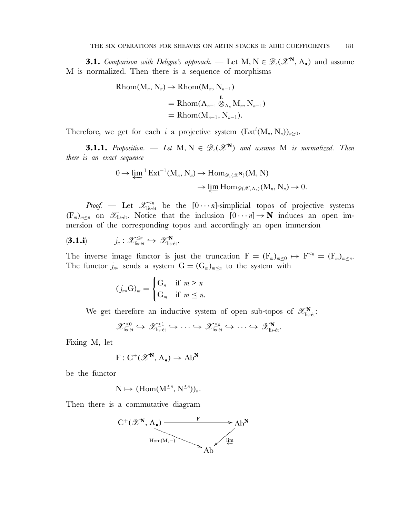**3.1.** *Comparison with Deligne's approach.* — Let  $M, N \in \mathscr{D}_{\ell}(\mathscr{X}^N, \Lambda_{\bullet})$  and assume M is normalized. Then there is a sequence of morphisms

$$
Rhom(M_n, N_n) \to Rhom(M_n, N_{n-1})
$$
  
= Rhom $(\Lambda_{n-1} \otimes_{\Lambda_n} M_n, N_{n-1})$   
= Rhom $(M_{n-1}, N_{n-1})$ .

Therefore, we get for each i a projective system  $(\text{Ext}^i(M_n, N_n))_{n \geq 0}$ .

**3.1.1.** *Proposition.* — Let  $M, N \in \mathscr{D}_{c}(\mathscr{X}^{N})$  and assume M *is normalized. Then there is an exact sequence*

$$
0 \to \lim_{n} {}^{1}Ext^{-1}(M_{n}, N_{n}) \to Hom_{\mathscr{D}_{\varepsilon}(\mathscr{X}^{\mathbf{N}})}(M, N)
$$

$$
\to \lim_{n} Hom_{\mathscr{D}(\mathscr{X}, \Lambda_{n})}(M_{n}, N_{n}) \to 0.
$$

*Proof.* — Let  $\mathscr{X}^{\leq n}_{\text{lis-\'et}}$  be the  $[0 \cdots n]$ -simplicial topos of projective systems  $(F_m)_{m\leq n}$  on  $\mathscr{X}_{\text{lis-\'et}}$ . Notice that the inclusion  $[0\cdots n] \to \mathbb{N}$  induces an open immersion of the corresponding topos and accordingly an open immersion

$$
(\mathbf{3.1. i}) \qquad j_n: \mathscr{X}_{\text{lis-\'et}}^{\leq n} \hookrightarrow \mathscr{X}_{\text{lis-\'et}}^{\mathbf{N}}.
$$

The inverse image functor is just the truncation  $F = (F_m)_{m \leq 0} \mapsto F^{\leq n} = (F_m)_{m \leq n}$ . The functor  $j_{n*}$  sends a system  $G = (G_m)_{m \leq n}$  to the system with

$$
(j_{n*}\mathcal{G})_m = \begin{cases} \mathcal{G}_n & \text{if } m > n \\ \mathcal{G}_m & \text{if } m \leq n. \end{cases}
$$

We get therefore an inductive system of open sub-topos of  $\mathscr{X}_{\text{lis-\'et}}^{\mathbf{N}}$ .

$$
\mathscr{X}_{\text{lis-\'et}}^{\leq 0} \hookrightarrow \mathscr{X}_{\text{lis-\'et}}^{\leq 1} \hookrightarrow \cdots \hookrightarrow \mathscr{X}_{\text{lis-\'et}}^{\leq n} \hookrightarrow \cdots \hookrightarrow \mathscr{X}_{\text{lis-\'et}}^{\mathbf{N}}.
$$

Fixing M, let

$$
F: C^+(\mathscr{X}^N, \Lambda_{\bullet}) \to \mathrm{Ab}^N
$$

be the functor

$$
N\mapsto (Hom(M^{\leq n},N^{\leq n}))_n.
$$

Then there is a commutative diagram

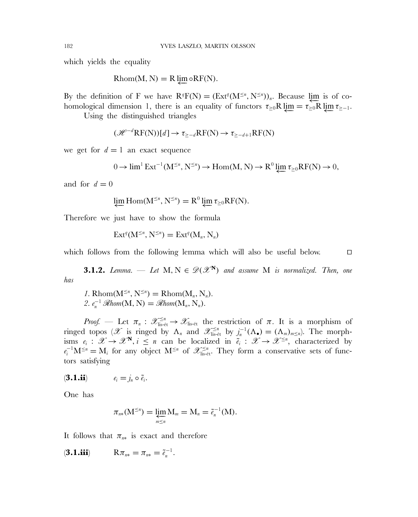which yields the equality

 $Rhom(M, N) = R \varprojlim \circ RF(N).$ 

By the definition of F we have  $R^qF(N) = (Ext^q(M^{\leq n}, N^{\leq n}))_n$ . Because  $\lim_{n \to \infty}$  is of cohomological dimension 1, there is an equality of functors  $\tau_{\geq 0}R \downarrow m = \tau_{\geq 0}R \downarrow m \tau_{\geq -1}$ .

Using the distinguished triangles

$$
(\mathcal{H}^{-d}\mathrm{RF(N)})[d] \to \tau_{\geq -d}\mathrm{RF(N)} \to \tau_{\geq -d+1}\mathrm{RF(N)}
$$

we get for  $d = 1$  an exact sequence

$$
0 \to \lim^{1} \operatorname{Ext}^{-1}(M^{\leq n}, N^{\leq n}) \to \operatorname{Hom}(M, N) \to R^{0} \varprojlim \tau_{\geq 0} \operatorname{RF}(N) \to 0,
$$

and for  $d = 0$ 

$$
\varprojlim \mathrm{Hom}(M^{\leq n}, N^{\leq n}) = R^0 \varprojlim \tau_{\geq 0} RF(N).
$$

Therefore we just have to show the formula

$$
\operatorname{Ext}^q(M^{\leq n},N^{\leq n})=\operatorname{Ext}^q(M_n,N_n)
$$

which follows from the following lemma which will also be useful below.  $\square$ 

**3.1.2.** *Lemma.* — *Let*  $M, N \in \mathscr{D}(\mathscr{X}^N)$  *and assume*  $M$  *is normalized. Then, one has*

*1*. Rhom( $M^{\leq n}$ ,  $N^{\leq n}$ ) = Rhom( $M_n$ ,  $N_n$ ). 2.  $e_n^{-1} \mathcal{R}hom(M, N) = \mathcal{R}hom(M_n, N_n)$ .

*Proof.* — Let  $\pi_n$  :  $\mathscr{X}^{\leq n}_{\text{lis-\'et}} \to \mathscr{X}_{\text{lis-\'et}}$  the restriction of  $\pi$ . It is a morphism of ringed topos (*X* is ringed by  $\Lambda_n$  and  $\mathscr{X}_{\text{lis-\'et}}^{\leq n}$  by  $j_n^{-1}(\Lambda_{\bullet}) = (\Lambda_m)_{m \leq n}$ ). The morphisms  $e_i : \mathscr{X} \to \mathscr{X}^N$ ,  $i \leq n$  can be localized in  $\tilde{e}_i : \mathscr{X} \to \mathscr{X}^{\leq n}$ , characterized by  $e_i^{-1}M^{\leq n} = M_i$  for any object  $M^{\leq n}$  of  $\mathscr{X}_{\text{lis-\'et}}^{\leq n}$ . They form a conservative sets of functors satisfying

$$
(\mathbf{3.1.ii}) \qquad \qquad e_i = j_n \circ \tilde{e}_i.
$$

One has

$$
\pi_{n*}(\mathbf{M}^{\leq n}) = \varprojlim_{m \leq n} \mathbf{M}_m = \mathbf{M}_n = \tilde{e}_n^{-1}(\mathbf{M}).
$$

It follows that  $\pi_{n*}$  is exact and therefore

$$
(\mathbf{3.1.iii}) \qquad R\pi_{n*} = \pi_{n*} = \tilde{e}_n^{-1}.
$$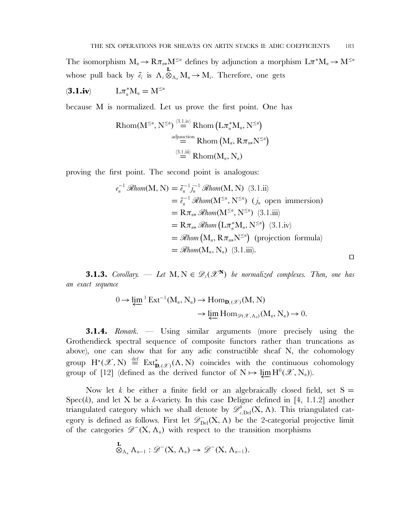The isomorphism  $M_n \to R\pi_{n*}M^{\leq n}$  defines by adjunction a morphism  $L\pi^*M_n \to M^{\leq n}$ whose pull back by  $\tilde{e}_i$  is  $\Lambda_i \otimes_{\Lambda_n} M_n \to M_i$ . Therefore, one gets

$$
(\mathbf{3.1.i}\mathbf{v}) \hspace{1cm} \mathbf{L}\pi_n^*\mathbf{M}_n = \mathbf{M}^{\leq n}
$$

because M is normalized. Let us prove the first point. One has

$$
\operatorname{Rhom}(M^{\leq n}, N^{\leq n}) \stackrel{\text{(3.1.iv)}}{=} \operatorname{Rhom}\left(L\pi_n^* M_n, N^{\leq n}\right)
$$
\n
$$
\stackrel{\text{adjunction}}{=} \operatorname{Rhom}\left(M_n, R\pi_{n*} N^{\leq n}\right)
$$
\n
$$
\stackrel{\text{(3.1.iii)}}{=} \operatorname{Rhom}(M_n, N_n)
$$

proving the first point. The second point is analogous:

$$
e_n^{-1} \mathcal{R}hom(M, N) = \tilde{e}_n^{-1} j_n^{-1} \mathcal{R}hom(M, N) \quad (3.1.ii)
$$
  
\n
$$
= \tilde{e}_n^{-1} \mathcal{R}hom(M^{\leq n}, N^{\leq n}) \quad (j_n \text{ open immersion})
$$
  
\n
$$
= R \pi_{n*} \mathcal{R}hom(M^{\leq n}, N^{\leq n}) \quad (3.1.iii)
$$
  
\n
$$
= R \pi_{n*} \mathcal{R}hom \left( L \pi_n^* M_n, N^{\leq n} \right) \quad (3.1.iv)
$$
  
\n
$$
= \mathcal{R}hom \left( M_n, R \pi_{n*} N^{\leq n} \right) \quad \text{(projection formula)}
$$
  
\n
$$
= \mathcal{R}hom(M_n, N_n) \quad (3.1.iii).
$$

**3.1.3.** *Corollary.* — Let  $M, N \in \mathcal{D}_c(\mathcal{X}^N)$  be normalized complexes. Then, one has *an exact sequence*

$$
0 \to \lim_{n \to \infty} {}^{1}Ext^{-1}(M_{n}, N_{n}) \to \text{Hom}_{\mathbf{D}_{\epsilon}(\mathscr{X})}(M, N)
$$

$$
\to \lim_{n \to \infty} \text{Hom}_{\mathscr{D}(\mathscr{X}, \Lambda_{n})}(M_{n}, N_{n}) \to 0.
$$

**3.1.4.** *Remark.* — Using similar arguments (more precisely using the Grothendieck spectral sequence of composite functors rather than truncations as above), one can show that for any adic constructible sheaf N, the cohomology group  $H^*(\mathscr{X}, N) \stackrel{\text{def}}{=} \operatorname{Ext}^*_{\mathbf{D}_c(\mathscr{X})}(\Lambda, N)$  coincides with the continuous cohomology group of [12] (defined as the derived functor of  $N \mapsto \lim_{\leftarrow} H^0(\mathscr{X}, N_n)$ ).

Now let k be either a finite field or an algebraically closed field, set  $S =$ Spec $(k)$ , and let X be a k-variety. In this case Deligne defined in [4, 1.1.2] another triangulated category which we shall denote by  $\mathscr{D}^b_{c,\text{Del}}(X,\Lambda)$ . This triangulated category is defined as follows. First let  $\mathscr{D}_{\mathrm{Del}}^-(X,\Lambda)$  be the 2-categorial projective limit of the categories  $\mathscr{D}^{-}(X, \Lambda_n)$  with respect to the transition morphisms

$$
\overset{\mathbf{L}}{\otimes}_{\Lambda_n}\Lambda_{n-1}:\mathscr{D}^-(X,\Lambda_n)\to\mathscr{D}^-(X,\Lambda_{n-1}).
$$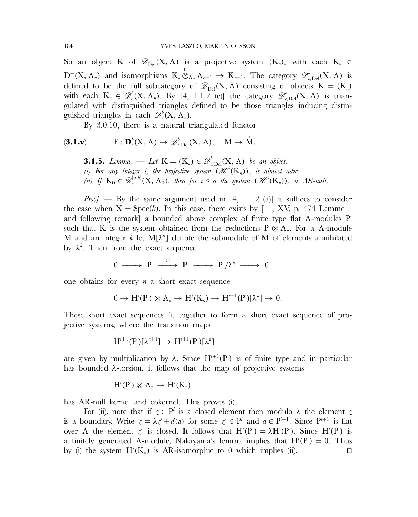So an object K of  $\mathscr{D}_{\mathrm{Del}}(X,\Lambda)$  is a projective system  $(K_n)_n$  with each  $K_n \in$ D<sup>-</sup>(X,  $\Lambda_n$ ) and isomorphisms  $K_n \otimes_{\Lambda_n} \Lambda_{n-1} \to K_{n-1}$ . The category  $\mathscr{D}^b_{c, \text{Del}}(X, \Lambda)$  is defined to be the full subcategory of  $\mathscr{D}_{\rm Del}^-(X, \Lambda)$  consisting of objects  $K = (K_n)$ with each  $K_n \in \mathscr{D}_c^b(X, \Lambda_n)$ . By [4, 1.1.2 (e)] the category  $\mathscr{D}_{c, Del}^b(X, \Lambda)$  is triangulated with distinguished triangles defined to be those triangles inducing distinguished triangles in each  $\mathscr{D}_{c}^{b}(\mathbf{X}, \Lambda_{n})$ .

By 3.0.10, there is a natural triangulated functor

$$
(\mathbf{3.1. v}) \quad \mathbf{F} : \mathbf{D}_{\iota}^{b}(\mathbf{X}, \Lambda) \to \mathscr{D}_{\iota, \mathrm{Del}}^{b}(\mathbf{X}, \Lambda), \quad \mathbf{M} \mapsto \hat{\mathbf{M}}.
$$

**3.1.5.** *Lemma.* — *Let*  $K = (K_n) \in \mathscr{D}_{c, \text{Del}}^b(X, \Lambda)$  *be an object.* (*i*) For any integer *i*, the projective system  $(\mathcal{H}^i(K_n))_n$  is almost adic. (*ii*) If  $K_0 \in \mathscr{D}_{c}^{[a,b]}(X, \Lambda_0)$ , then for  $i < a$  the system  $(\mathscr{H}^i(K_n))_n$  is AR-null.

*Proof.* — By the same argument used in [4, 1.1.2 (a)] it suffices to consider the case when  $X = \text{Spec}(k)$ . In this case, there exists by [11, XV, p. 474 Lemme 1 and following remark] a bounded above complex of finite type flat  $\Lambda$ -modules P such that K is the system obtained from the reductions  $P \otimes \Lambda_n$ . For a  $\Lambda$ -module M and an integer k let  $M[\lambda^k]$  denote the submodule of M of elements annihilated by  $\lambda^k$ . Then from the exact sequence

$$
0 \longrightarrow P \stackrel{\lambda^k}{\longrightarrow} P \longrightarrow P/\lambda^k \longrightarrow 0
$$

one obtains for every  $n$  a short exact sequence

$$
0 \to H^{i}(P) \otimes \Lambda_n \to H^{i}(K_n) \to H^{i+1}(P)[\lambda^n] \to 0.
$$

These short exact sequences fit together to form a short exact sequence of projective systems, where the transition maps

$$
H^{i+1}(P)[\lambda^{n+1}] \to H^{i+1}(P)[\lambda^n]
$$

are given by multiplication by  $\lambda$ . Since  $H^{i+1}(P)$  is of finite type and in particular has bounded  $\lambda$ -torsion, it follows that the map of projective systems

$$
H^i(P) \otimes \Lambda_n \to H^i(K_n)
$$

has AR-null kernel and cokernel. This proves (i).

For (ii), note that if  $z \in P^i$  is a closed element then modulo  $\lambda$  the element z is a boundary. Write  $z = \lambda z' + d(a)$  for some  $z' \in P^i$  and  $a \in P^{i-1}$ . Since  $P^{i+1}$  is flat over  $\Lambda$  the element  $z'$  is closed. It follows that  $H^i(P) = \lambda H^i(P)$ . Since  $H^i(P)$  is a finitely generated A-module, Nakayama's lemma implies that  $H^{i}(P) = 0$ . Thus by (i) the system  $H^{i}(K_n)$  is AR-isomorphic to 0 which implies (ii).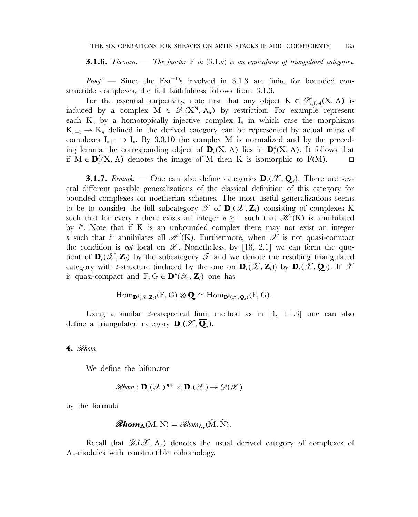**3.1.6.** *Theorem.* — *The functor* F *in* (3.1.v) *is an equivalence of triangulated categories.*

*Proof.* — Since the Ext<sup>-1</sup>'s involved in 3.1.3 are finite for bounded constructible complexes, the full faithfulness follows from 3.1.3.

For the essential surjectivity, note first that any object  $K \in \mathcal{D}_{c, Del}^{b}(X, \Lambda)$  is induced by a complex  $M \in \mathscr{D}_{\ell}(X^N, \Lambda_{\bullet})$  by restriction. For example represent each  $K_n$  by a homotopically injective complex  $I_n$  in which case the morphisms  $K_{n+1} \rightarrow K_n$  defined in the derived category can be represented by actual maps of complexes  $I_{n+1} \to I_n$ . By 3.0.10 the complex M is normalized and by the preceding lemma the corresponding object of  $\mathbf{D}_c(X, \Lambda)$  lies in  $\mathbf{D}_c^b(X, \Lambda)$ . It follows that if  $M \in \mathbf{D}_{c}^{b}(X, \Lambda)$  denotes the image of M then K is isomorphic to F(M).  $\square$ 

**3.1.7.** *Remark.* — One can also define categories  $\mathbf{D}_{\ell}(\mathscr{X}, \mathbf{Q}_{\ell})$ . There are several different possible generalizations of the classical definition of this category for bounded complexes on noetherian schemes. The most useful generalizations seems to be to consider the full subcategory  $\mathscr{T}$  of  $\mathbf{D}_c(\mathscr{X}, \mathbf{Z}_l)$  consisting of complexes K such that for every *i* there exists an integer  $n \ge 1$  such that  $\mathscr{H}^i(K)$  is annihilated by  $l^n$ . Note that if K is an unbounded complex there may not exist an integer *n* such that  $l^n$  annihilates all  $\mathscr{H}^i(K)$ . Furthermore, when  $\mathscr{X}$  is not quasi-compact the condition is *not* local on  $\mathscr X$ . Nonetheless, by [18, 2.1] we can form the quotient of  $\mathbf{D}_c(\mathscr{X}, \mathbf{Z}_l)$  by the subcategory  $\mathscr{T}$  and we denote the resulting triangulated category with *t*-structure (induced by the one on  $\mathbf{D}_c(\mathscr{X}, \mathbf{Z}_l)$ ) by  $\mathbf{D}_c(\mathscr{X}, \mathbf{Q}_l)$ . If  $\mathscr{X}$ is quasi-compact and  $F, G \in \mathbf{D}^b(\mathscr{X}, \mathbf{Z}_l)$  one has

$$
\mathrm{Hom}_{\mathbf{D}^b(\mathscr{X},\mathbf{Z}_l)}(F,G)\otimes\mathbf{Q}\simeq \mathrm{Hom}_{\mathbf{D}^b(\mathscr{X},\mathbf{Q}_l)}(F,G).
$$

Using a similar 2-categorical limit method as in [4, 1.1.3] one can also define a triangulated category  $\mathbf{D}_{\iota}(\mathscr{X}, \mathbf{Q}_{\iota})$ .

#### **4.** R*hom*

We define the bifunctor

$$
\mathscr{R}\text{hom}: \mathbf{D}_{c}(\mathscr{X})^{\text{opp}} \times \mathbf{D}_{c}(\mathscr{X}) \to \mathscr{D}(\mathscr{X})
$$

by the formula

$$
\mathscr{R}\mathbf{hom}_{\Lambda}(M, N) = \mathscr{R}\text{hom}_{\Lambda_{\bullet}}(\hat{M}, \hat{N}).
$$

Recall that  $\mathscr{D}_{\ell}(\mathscr{X}, \Lambda_n)$  denotes the usual derived category of complexes of  $\Lambda_n$ -modules with constructible cohomology.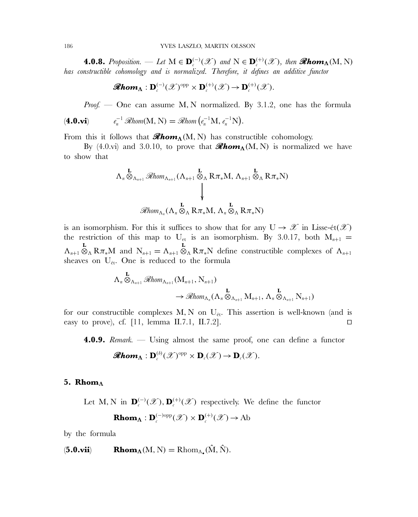**4.0.8.** *Proposition.* — *Let*  $M \in \mathbf{D}_{c}^{(-)}(\mathcal{X})$  *and*  $N \in \mathbf{D}_{c}^{(+)}(\mathcal{X})$ *, then*  $\mathcal{R}hom_{\Lambda}(M, N)$ *has constructible cohomology and is normalized. Therefore, it defines an additive functor*

$$
\mathscr{R}\mathbf{hom}_{\mathbf{\Lambda}}: \mathbf{D}_{\iota}^{(-)}(\mathscr{X})^{\mathrm{opp}} \times \mathbf{D}_{\iota}^{(+)}(\mathscr{X}) \to \mathbf{D}_{\iota}^{(+)}(\mathscr{X}).
$$

*Proof.* — One can assume M, N normalized. By 3.1.2, one has the formula

$$
\textbf{(4.0.vi)} \quad e_n^{-1} \mathcal{R}hom(M, N) = \mathcal{R}hom\left(e_n^{-1}M, e_n^{-1}N\right).
$$

From this it follows that  $\mathscr{R}\mathbf{hom}_{\Lambda}(\mathbf{M}, \mathbf{N})$  has constructible cohomology.

By  $(4.0.\text{vi})$  and 3.0.10, to prove that  $\mathscr{R}\mathbf{hom}_{\mathbf{\Lambda}}(M, N)$  is normalized we have to show that

$$
\Lambda_n \overset{\mathbf{L}}{\otimes}_{\Lambda_{n+1}} \mathcal{R}hom_{\Lambda_{n+1}}(\Lambda_{n+1} \overset{\mathbf{L}}{\otimes}_{\Lambda} R\pi_* M, \Lambda_{n+1} \overset{\mathbf{L}}{\otimes}_{\Lambda} R\pi_* N)
$$
\n
$$
\downarrow
$$
\n
$$
\mathcal{R}hom_{\Lambda_n}(\Lambda_n \overset{\mathbf{L}}{\otimes}_{\Lambda} R\pi_* M, \Lambda_n \overset{\mathbf{L}}{\otimes}_{\Lambda} R\pi_* N)
$$

is an isomorphism. For this it suffices to show that for any  $U \to \mathscr{X}$  in Lisse-ét $(\mathscr{X})$ the restriction of this map to  $U_{et}$  is an isomorphism. By 3.0.17, both  $M_{n+1}$  =  $\Lambda_{n+1} \otimes_{\Lambda} R_{\pi}M$  and  $N_{n+1} = \Lambda_{n+1} \otimes_{\Lambda} R_{\pi}N$  define constructible complexes of  $\Lambda_{n+1}$ sheaves on  $U_{\text{\'et}}$ . One is reduced to the formula

$$
\Lambda_n \overset{\mathbf{L}}{\otimes}_{\Lambda_{n+1}} \mathcal{R}hom_{\Lambda_{n+1}}(\mathbf{M}_{n+1}, \mathbf{N}_{n+1}) \longrightarrow \overset{\mathbf{L}}{\mathcal{R}hom}_{\Lambda_n}(\Lambda_n \overset{\mathbf{L}}{\otimes}_{\Lambda_{n+1}} \mathbf{M}_{n+1}, \Lambda_n \overset{\mathbf{L}}{\otimes}_{\Lambda_{n+1}} \mathbf{N}_{n+1})
$$

for our constructible complexes M, N on  $U_{\text{\'et}}$ . This assertion is well-known (and is easy to prove), cf. [11, lemma II.7.1, II.7.2].

**4.0.9.** *Remark.* — Using almost the same proof, one can define a functor

$$
\mathscr{R}\mathbf{hom}_{\Lambda}: \mathbf{D}_{c}^{(b)}(\mathscr{X})^{\mathrm{opp}} \times \mathbf{D}_{c}(\mathscr{X}) \to \mathbf{D}_{c}(\mathscr{X}).
$$

#### **5. Rhom**<sub>Λ</sub>

Let M, N in  $\mathbf{D}_{c}^{(-)}(\mathscr{X}), \mathbf{D}_{c}^{(+)}(\mathscr{X})$  respectively. We define the functor

**Rhom**<sub>$$
\Lambda
$$</sub> : **D** <sub>$c$</sub> <sup>(-)opp</sup> $(\mathscr{X}) \times$  **D** <sub>$c$</sub> <sup>(+)</sup> $(\mathscr{X}) \to$  Ab

by the formula

 $\mathbf{Rhom}_{\Lambda}(M, N) = \text{Rhom}_{\Lambda_{\bullet}}(\hat{M}, \hat{N}).$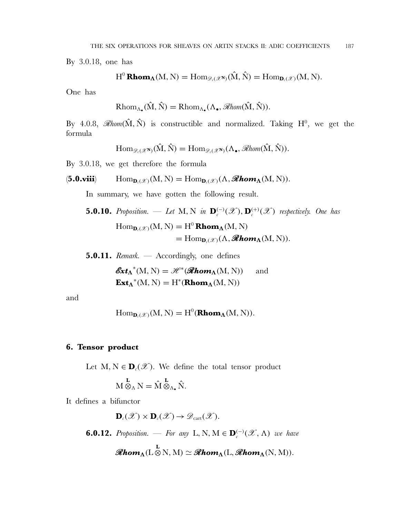By 3.0.18, one has

$$
H^0\operatorname{Rhom}_{\Lambda}(M, N) = \operatorname{Hom}_{\mathscr{D}_{\ell}(\mathscr{X}^{\mathbf{N}})}(\hat{M}, \hat{N}) = \operatorname{Hom}_{\mathbf{D}_{\ell}(\mathscr{X})}(M, N).
$$

One has

$$
\mathrm{Rhom}_{\Lambda_{\bullet}}(\hat{M}, \hat{N}) = \mathrm{Rhom}_{\Lambda_{\bullet}}(\Lambda_{\bullet}, \mathscr{Rhom}(\hat{M}, \hat{N})).
$$

By 4.0.8,  $\mathcal{R}hom(\hat{M}, \hat{N})$  is constructible and normalized. Taking H<sup>0</sup>, we get the formula

$$
\mathrm{Hom}_{\mathscr{D}_{\ell}(\mathscr{X}^{\mathbf{N}})}(\hat{M},\hat{N})=\mathrm{Hom}_{\mathscr{D}_{\ell}(\mathscr{X}^{\mathbf{N}})}(\Lambda_{\bullet},\mathscr{Rhom}(\hat{M},\hat{N})).
$$

By 3.0.18, we get therefore the formula

$$
(\mathbf{5.0. viii}) \qquad \operatorname{Hom}_{\mathbf{D}_{\ell}(\mathscr{X})}(M, N) = \operatorname{Hom}_{\mathbf{D}_{\ell}(\mathscr{X})}(\Lambda, \mathscr{Rhom}_{\Lambda}(M, N)).
$$

In summary, we have gotten the following result.

- **5.0.10.** Proposition. Let M, N in  $\mathbf{D}_{c}^{(-)}(\mathscr{X}), \mathbf{D}_{c}^{(+)}(\mathscr{X})$  respectively. One has  $\text{Hom}_{\mathbf{D}_c(\mathscr{X})}(M, N) = H^0 \text{Rhom}_{\Lambda}(M, N)$  $= \text{Hom}_{\mathbf{D}_{c}(\mathscr{X})}(\Lambda, \mathscr{Rhom}_{\Lambda}(M, N)).$
- **5.0.11.** *Remark.* Accordingly, one defines

$$
\mathbf{Ext}_{\Lambda}^*(M, N) = \mathcal{H}^*(\mathbf{Rhom}_{\Lambda}(M, N)) \quad \text{and}
$$
  

$$
\mathbf{Ext}_{\Lambda}^*(M, N) = H^*(\mathbf{Rhom}_{\Lambda}(M, N))
$$

and

$$
Hom_{\mathbf{D}_{\ell}(\mathscr{X})}(M, N) = H^{0}(\mathbf{Rhom}_{\Lambda}(M, N)).
$$

### **6. Tensor product**

Let  $M, N \in \mathbf{D}_{\ell}(\mathscr{X})$ . We define the total tensor product

$$
M\overset{\mathbf{L}}{\otimes}_{\Lambda}N=\hat{M}\overset{\mathbf{L}}{\otimes}_{\Lambda_{\bullet}}\hat{N}.
$$

It defines a bifunctor

 $\mathbf{D}_c(\mathscr{X}) \times \mathbf{D}_c(\mathscr{X}) \rightarrow \mathscr{D}_{\text{cart}}(\mathscr{X})$ .

**6.0.12.** *Proposition.* — *For any* L, N,  $M \in \mathbf{D}_c^{(-)}(\mathcal{X}, \Lambda)$  *we have* 

$$
\mathscr{R}\hspace{-0.4mm}\textit{hom}_\Lambda(\operatorname{L}^\mathbf{L}_\infty\mathbf{N},\operatorname{M})\simeq\mathscr{R}\hspace{-0.4mm}\textit{hom}_\Lambda(\operatorname{L} ,\mathscr{R}\hspace{-0.4mm}\textit{hom}_\Lambda(\mathbf{N},\mathbf{M})).
$$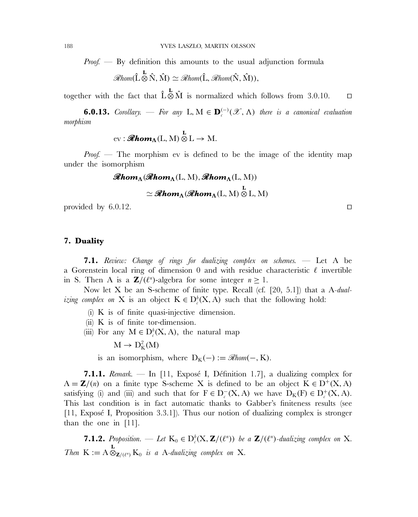*Proof.* — By definition this amounts to the usual adjunction formula

$$
\mathscr{R}\text{hom}(\hat{L}\overset{\mathbf{L}}{\otimes}\hat{N},\hat{M})\simeq \mathscr{R}\text{hom}(\hat{L},\mathscr{R}\text{hom}(\hat{N},\hat{M})),
$$

together with the fact that  $\hat{L} \otimes \hat{M}$  is normalized which follows from 3.0.10.  $\square$ 

**6.0.13.** *Corollary.* — *For any* **L**,  $M \in \mathbf{D}_{c}^{(-)}(\mathscr{X}, \Lambda)$  *there is a canonical evaluation morphism*

$$
\mathrm{ev}: \mathbf{Rhom}_{\Lambda}(L, M) \overset{\mathbf{L}}{\otimes} L \to M.
$$

*Proof.* — The morphism ev is defined to be the image of the identity map under the isomorphism

$$
\mathcal{R}hom_{\Lambda}(\mathcal{R}hom_{\Lambda}(L, M), \mathcal{R}hom_{\Lambda}(L, M))
$$
  

$$
\simeq \mathcal{R}hom_{\Lambda}(\mathcal{R}hom_{\Lambda}(L, M) \otimes L, M)
$$

provided by 6.0.12.

**7. Duality**

**7.1.** *Review: Change of rings for dualizing complex on schemes.* — Let A be a Gorenstein local ring of dimension 0 and with residue characteristic  $\ell$  invertible in S. Then A is a  $\mathbb{Z}/(\ell^n)$ -algebra for some integer  $n \geq 1$ .

Now let X be an S-scheme of finite type. Recall (cf. [20, 5.1]) that a A*-dualizing complex on* X is an object  $K \in D_c^b(X, A)$  such that the following hold:

- (i) K is of finite quasi-injective dimension.
- (ii) K is of finite tor-dimension.
- (iii) For any  $M \in D_c^b(X, A)$ , the natural map
	- $M \to D_K^2(M)$
	- is an isomorphism, where  $D_K(-) := \mathcal{R}hom(-, K)$ .

**7.1.1.** *Remark.* — In [11, Exposé I, Définition 1.7], a dualizing complex for  $A = \mathbf{Z}/(n)$  on a finite type S-scheme X is defined to be an object  $K \in D^{+}(X, A)$ satisfying (i) and (iii) and such that for  $F \in D_c^-(X, A)$  we have  $D_K(F) \in D_c^+(X, A)$ . This last condition is in fact automatic thanks to Gabber's finiteness results (see  $[11, Exy$  I, Proposition 3.3.1]). Thus our notion of dualizing complex is stronger than the one in [11].

**7.1.2.** *Proposition.* — Let  $K_0 \in D_c^b(X, \mathbf{Z}/(\ell^n))$  be a  $\mathbf{Z}/(\ell^n)$ -dualizing complex on X. *Then*  $K := A \otimes_{\mathbf{Z}/(\ell^n)} K_0$  *is a A-dualizing complex on* X*.*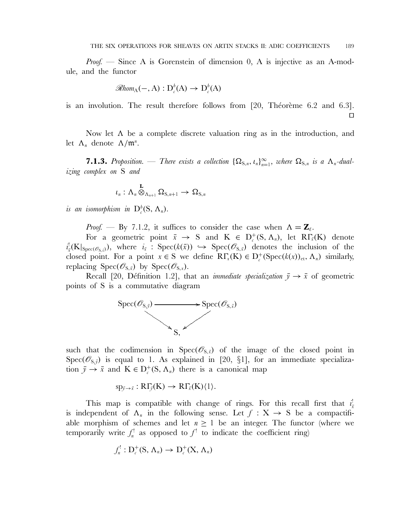*Proof.* — Since A is Gorenstein of dimension 0, A is injective as an A-module, and the functor

$$
\mathcal{R}hom_{A}(-, A): D_{c}^{b}(A) \to D_{c}^{b}(A)
$$

is an involution. The result therefore follows from  $[20,$  Théorème 6.2 and 6.3].  $\Box$ 

Now let  $\Lambda$  be a complete discrete valuation ring as in the introduction, and let  $\Lambda_n$  denote  $\Lambda/\mathfrak{m}^n$ .

**7.1.3.** Proposition. — There exists a collection  $\{\Omega_{S,n}, t_n\}_{n=1}^{\infty}$ , where  $\Omega_{S,n}$  is a  $\Lambda_n$ -dual*izing complex on* S *and*

$$
\iota_n: \Lambda_n \overset{\mathbf{L}}{\otimes}_{\Lambda_{n+1}} \Omega_{\mathrm{S},n+1} \to \Omega_{\mathrm{S},n}
$$

*is an isomorphism in*  $D_c^b(S, \Lambda_n)$ .

*Proof.* — By 7.1.2, it suffices to consider the case when  $\Lambda = \mathbb{Z}_l$ .

For a geometric point  $\bar{x} \to S$  and  $K \in D_c^+(S, \Lambda_n)$ , let  $R\Gamma_{\bar{x}}(K)$  denote  $i_{\bar{x}}$  $x_{\bar{x}}^{\dagger}(\mathbf{K}|_{\text{Spec}(\mathscr{O}_{S,\bar{x}})})$ , where  $i_{\bar{x}}$  : Spec( $k(\bar{x})$ )  $\hookrightarrow$  Spec( $\mathscr{O}_{S,\bar{x}}$ ) denotes the inclusion of the closed point. For a point  $x \in S$  we define  $R\Gamma_x(K) \in D_c^+(Spec(k(x))_{et}, \Lambda_n)$  similarly, replacing  $Spec(\mathscr{O}_{S,\bar{x}})$  by  $Spec(\mathscr{O}_{S,x})$ .

Recall [20, Définition 1.2], that an *immediate specialization*  $\bar{y} \rightarrow \bar{x}$  of geometric points of S is a commutative diagram



such that the codimension in  $Spec(\mathcal{O}_{S,\bar{x}})$  of the image of the closed point in Spec( $\mathcal{O}_{S,\bar{y}}$ ) is equal to 1. As explained in [20, §1], for an immediate specialization  $\bar{y} \to \bar{x}$  and  $K \in D_c^+(S, \Lambda_n)$  there is a canonical map

 $sp_{\bar{y}\to \bar{x}}: R\Gamma_{\bar{y}}(K) \to R\Gamma_{\bar{x}}(K)\langle 1\rangle.$ 

This map is compatible with change of rings. For this recall first that  $i_j^!$  $\bar{x}$ is independent of  $\Lambda_n$  in the following sense. Let  $f: X \to S$  be a compactifiable morphism of schemes and let  $n \geq 1$  be an integer. The functor (where we temporarily write  $f_n^!$  as opposed to  $f_i^!$  to indicate the coefficient ring)

$$
f_n^!: \mathcal{D}_{c}^{+}(\mathcal{S}, \Lambda_n) \to \mathcal{D}_{c}^{+}(\mathcal{X}, \Lambda_n)
$$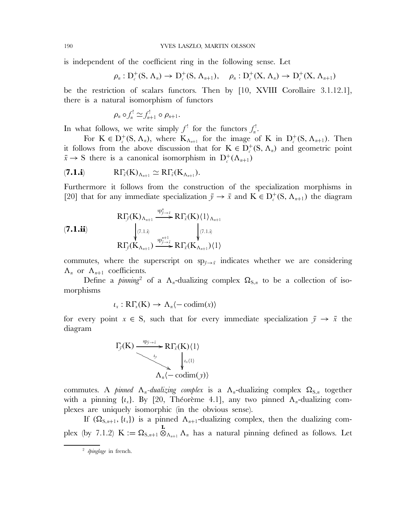is independent of the coefficient ring in the following sense. Let

$$
\rho_n: D_c^+(S, \Lambda_n) \to D_c^+(S, \Lambda_{n+1}), \quad \rho_n: D_c^+(X, \Lambda_n) \to D_c^+(X, \Lambda_{n+1})
$$

be the restriction of scalars functors. Then by [10, XVIII Corollaire 3.1.12.1], there is a natural isomorphism of functors

$$
\rho_n \circ f_n^! \simeq f_{n+1}^! \circ \rho_{n+1}.
$$

In what follows, we write simply  $f'$  for the functors  $f'_n$ .

For  $K \in D_c^+(S, \Lambda_n)$ , where  $K_{\Lambda_{n+1}}$  for the image of K in  $D_c^+(S, \Lambda_{n+1})$ . Then it follows from the above discussion that for  $K \in D_c^+(S, \Lambda_n)$  and geometric point  $\bar{x} \to S$  there is a canonical isomorphism in  $D_c^+(\Lambda_{n+1})$ 

$$
(\mathbf{7.1. i}) \t R\Gamma_{\bar{x}}(K)_{\Lambda_{n+1}} \simeq R\Gamma_{\bar{x}}(K_{\Lambda_{n+1}}).
$$

Furthermore it follows from the construction of the specialization morphisms in [20] that for any immediate specialization  $\bar{y} \to \bar{x}$  and  $K \in D_c^+(S, \Lambda_{n+1})$  the diagram

(7.1.ii)  
\n
$$
R\Gamma_{\bar{y}}(K)_{\Lambda_{n+1}} \xrightarrow{\text{sp}_{\bar{y}\to \bar{x}}^{n}} R\Gamma_{\bar{x}}(K)\langle 1 \rangle_{\Lambda_{n+1}}
$$
\n
$$
\downarrow^{\text{(7.1.ii)}} \qquad \qquad \downarrow^{\text{(7.1.ii)}} \qquad \qquad \downarrow^{\text{(7.1.ii)}}
$$
\n
$$
R\Gamma_{\bar{y}}(K_{\Lambda_{n+1}}) \xrightarrow{\text{sp}_{\bar{y}\to \bar{x}}^{n+1}} R\Gamma_{\bar{x}}(K_{\Lambda_{n+1}})\langle 1 \rangle
$$

commutes, where the superscript on  $sp_{\bar{y}\to\bar{x}}$  indicates whether we are considering  $\Lambda_n$  or  $\Lambda_{n+1}$  coefficients.

Define a *pinning*<sup>2</sup> of a  $\Lambda_n$ -dualizing complex  $\Omega_{S,n}$  to be a collection of isomorphisms

$$
\iota_x: \mathrm{R}\Gamma_x(\mathrm{K}) \to \Lambda_n \langle -\mathrm{codim}(x) \rangle
$$

for every point  $x \in S$ , such that for every immediate specialization  $\bar{y} \to \bar{x}$  the diagram

$$
\Gamma_{\bar{y}}(K) \xrightarrow{\text{sp}_{\bar{y} \to \bar{x}}} \text{R}\Gamma_{\bar{x}}(K)\langle 1 \rangle
$$
\n
$$
\downarrow \downarrow \downarrow \downarrow \downarrow
$$
\n
$$
\Lambda_n \langle -\text{codim}(y) \rangle
$$

commutes. A *pinned*  $\Lambda_n$ -dualizing complex is a  $\Lambda_n$ -dualizing complex  $\Omega_{S,n}$  together with a pinning  $\{t_x\}$ . By [20, Théorème 4.1], any two pinned  $\Lambda_n$ -dualizing complexes are uniquely isomorphic (in the obvious sense).

If  $(\Omega_{S,n+1}, \{t_{x}\})$  is a pinned  $\Lambda_{n+1}$ -dualizing complex, then the dualizing complex (by 7.1.2)  $K := \Omega_{S,n+1} \otimes_{\Lambda_{n+1}} \Lambda_n$  has a natural pinning defined as follows. Let

<sup>&</sup>lt;sup>2</sup> épinglage in french.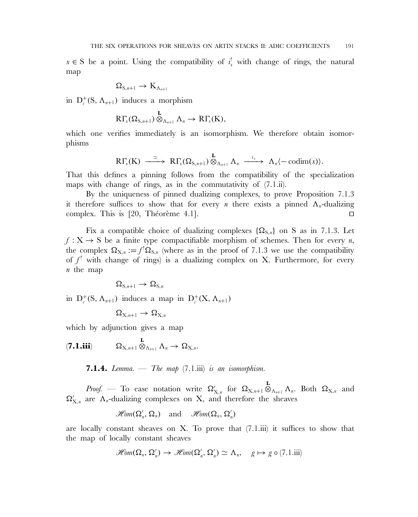$x \in S$  be a point. Using the compatibility of  $i_x^{\dagger}$  with change of rings, the natural map

$$
\Omega_{S,\textbf{n}+1}\to K_{\Lambda_{\textbf{n}+1}}
$$

in  $D_c^+(S, \Lambda_{n+1})$  induces a morphism

$$
R\Gamma_{x}(\Omega_{S,n+1})\overset{\mathbf{L}}{\otimes}_{\Lambda_{n+1}}\Lambda_{n}\to R\Gamma_{x}(K),
$$

which one verifies immediately is an isomorphism. We therefore obtain isomorphisms

$$
R\Gamma_{x}(K) \stackrel{\simeq}{\longrightarrow} R\Gamma_{x}(\Omega_{S,n+1}) \stackrel{\mathbf{L}}{\otimes}_{\Lambda_{n+1}} \Lambda_{n} \stackrel{\iota_{x}}{\longrightarrow} \Lambda_{n} \langle -\mathrm{codim}(x) \rangle.
$$

That this defines a pinning follows from the compatibility of the specialization maps with change of rings, as in the commutativity of  $(7.1 \text{.}ii)$ .

By the uniqueness of pinned dualizing complexes, to prove Proposition 7.1.3 it therefore suffices to show that for every *n* there exists a pinned  $\Lambda_n$ -dualizing complex. This is [20, Théorème 4.1].

Fix a compatible choice of dualizing complexes  $\{\Omega_{S,n}\}\$  on S as in 7.1.3. Let  $f: X \to S$  be a finite type compactifiable morphism of schemes. Then for every *n*, the complex  $\Omega_{X,n} := f^! \Omega_{S,n}$  (where as in the proof of 7.1.3 we use the compatibility of  $f'$  with change of rings) is a dualizing complex on X. Furthermore, for every n the map

$$
\Omega_{S,\text{m}+1}\to\Omega_{S,\text{m}}
$$

in  $D_c^+(S, \Lambda_{n+1})$  induces a map in  $D_c^+(X, \Lambda_{n+1})$ 

$$
\Omega_{X,n+1}\to\Omega_{X,n}
$$

which by adjunction gives a map

 $(7.1.iii) \qquad \qquad \Omega_{\mathrm{X},n+1} \overset{\mathbf{L}}{\otimes}_{\Lambda_{n+1}} \Lambda_n \to \Omega_{\mathrm{X},n}.$ 

**7.1.4.** *Lemma.* — *The map* (7.1.iii) *is an isomorphism.*

*Proof.* — To ease notation write  $\Omega'_{X,n}$  for  $\Omega_{X,n+1} \otimes_{\Lambda_{n+1}} \Lambda_n$ . Both  $\Omega_{X,n}$  and  $\Omega'_{X,n}$  are  $\Lambda_n$ -dualizing complexes on X, and therefore the sheaves

$$
\mathscr{H}\!\mathit{om}(\Omega_n', \Omega_n) \quad \text{and} \quad \mathscr{H}\!\mathit{om}(\Omega_n, \Omega_n')
$$

are locally constant sheaves on  $X$ . To prove that  $(7.1.iii)$  it suffices to show that the map of locally constant sheaves

$$
\mathscr{H}\!\mathit{om}(\Omega_n,\,\Omega'_n)\,\to\,\mathscr{H}\!\mathit{om}(\Omega'_n,\,\Omega'_n)\,\simeq\,\Lambda_n,\quad g\mapsto g\circ(7.1.\mathrm{iii})
$$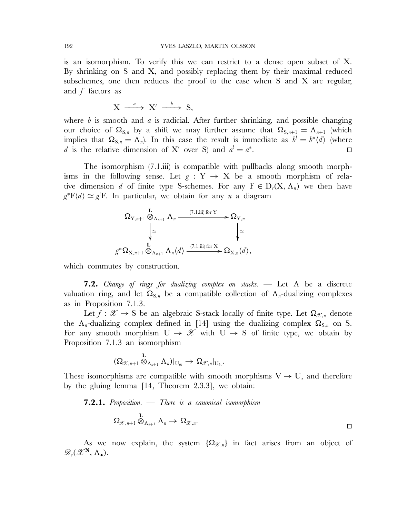is an isomorphism. To verify this we can restrict to a dense open subset of X. By shrinking on S and X, and possibly replacing them by their maximal reduced subschemes, one then reduces the proof to the case when S and X are regular, and  $f$  factors as

$$
X \xrightarrow{a} X' \xrightarrow{b} S,
$$

where  $b$  is smooth and  $a$  is radicial. After further shrinking, and possible changing our choice of  $\Omega_{S,n}$  by a shift we may further assume that  $\Omega_{S,n+1} = \Lambda_{n+1}$  (which implies that  $\Omega_{S,n} = \Lambda_n$ ). In this case the result is immediate as  $b' = b^* \langle d \rangle$  (where d is the relative dimension of X' over S) and  $a' = a^*$ .

The isomorphism (7.1.iii) is compatible with pullbacks along smooth morphisms in the following sense. Let  $g: Y \rightarrow X$  be a smooth morphism of relative dimension d of finite type S-schemes. For any  $F \in D_c(X, \Lambda_n)$  we then have  $g^*F\langle d \rangle \simeq g^!\mathbf{F}$ . In particular, we obtain for any *n* a diagram

$$
\Omega_{Y,n+1} \otimes_{\Lambda_{n+1}} \Lambda_n \xrightarrow{\qquad (7.1.iii) for Y} \Omega_{Y,n}
$$
\n
$$
\downarrow \simeq \qquad \qquad \downarrow \simeq
$$
\n
$$
g^* \Omega_{X,n+1} \otimes_{\Lambda_{n+1}} \Lambda_n \langle d \rangle \xrightarrow{\qquad (7.1.iii) for X} \Omega_{X,n} \langle d \rangle,
$$

which commutes by construction.

**7.2.** *Change of rings for dualizing complex on stacks.* — Let Λ be a discrete valuation ring, and let  $\Omega_{S,n}$  be a compatible collection of  $\Lambda_n$ -dualizing complexes as in Proposition 7.1.3.

Let  $f: \mathscr{X} \to S$  be an algebraic S-stack locally of finite type. Let  $\Omega_{\mathscr{X},n}$  denote the  $\Lambda_n$ -dualizing complex defined in [14] using the dualizing complex  $\Omega_{\text{S,n}}$  on S. For any smooth morphism  $U \rightarrow \mathcal{X}$  with  $U \rightarrow S$  of finite type, we obtain by Proposition 7.1.3 an isomorphism

$$
(\Omega_{\mathscr{X},n+1} \overset{\mathbf{L}}{\otimes}_{\Lambda_{n+1}} \Lambda_n)|_{U_{\mathrm{\acute{e}t}}}\rightarrow \Omega_{\mathscr{X},n}|_{U_{\mathrm{\acute{e}t}}}.
$$

These isomorphisms are compatible with smooth morphisms  $V \rightarrow U$ , and therefore by the gluing lemma [14, Theorem 2.3.3], we obtain:

**7.2.1.** *Proposition.* — *There is a canonical isomorphism*

$$
\Omega_{\mathscr{X},n+1} \otimes_{\Lambda_{n+1}} \Lambda_n \to \Omega_{\mathscr{X},n}.
$$

As we now explain, the system  ${\Omega}_{\mathscr{X},n}$  in fact arises from an object of  $\mathscr{D}_{c}(\mathscr{X}^{\mathbf{N}}, \Lambda_{\bullet}).$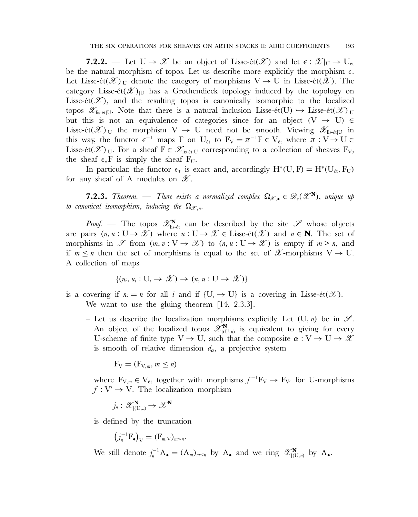**7.2.2.** — Let  $U \to \mathcal{X}$  be an object of Lisse-ét( $\mathcal{X}$ ) and let  $\epsilon : \mathcal{X}|_U \to U_{\epsilon t}$ be the natural morphism of topos. Let us describe more explicitly the morphism  $\epsilon$ . Let Lisse-ét $(\mathscr{X})_{U}$  denote the category of morphisms  $V \to U$  in Lisse-ét $(\mathscr{X})$ . The category Lisse-ét $(\mathscr{X})_{\text{U}}$  has a Grothendieck topology induced by the topology on Lisse-ét $(\mathscr{X})$ , and the resulting topos is canonically isomorphic to the localized topos  $\mathscr{X}_{\text{lis-\'et} | U}$ . Note that there is a natural inclusion Lisse-ét(U)  $\hookrightarrow$  Lisse-ét( $\mathscr{X})_{\text{IU}}$ but this is not an equivalence of categories since for an object  $(V \rightarrow U) \in$ Lisse-ét $(\mathscr{X})_{|U}$  the morphism  $V \to U$  need not be smooth. Viewing  $\mathscr{X}_{\text{lis-\'et}|U}$  in this way, the functor  $\epsilon^{-1}$  maps F on U<sub>ét</sub> to  $F_V = \pi^{-1}F \in V_{\text{\'et}}$  where  $\pi : V \to U \in$ Lisse-ét $(\mathscr{X})_{|U}$ . For a sheaf  $F \in \mathscr{X}_{\text{lis-\'et}|U}$  corresponding to a collection of sheaves  $F_V$ , the sheaf  $\epsilon_*$ F is simply the sheaf F<sub>U</sub>.

In particular, the functor  $\epsilon_*$  is exact and, accordingly  $H^*(U, F) = H^*(U_{\text{\'et}}, F_U)$ for any sheaf of  $\Lambda$  modules on  $\mathscr{X}$ .

**7.2.3.** *Theorem.* — *There exists a normalized complex*  $\Omega_{\mathscr{X},\bullet} \in \mathscr{D}_{c}(\mathscr{X}^{\mathbf{N}})$ *, unique up to canonical isomorphism, inducing the*  $\Omega_{\mathcal{X}_n}$ .

*Proof.* — The topos  $\mathscr{X}_{\text{lis-\'et}}^{\mathbf{N}}$  can be described by the site  $\mathscr{S}$  whose objects are pairs  $(n, u : U \to \mathcal{X})$  where  $u : U \to \mathcal{X} \in \text{Lisse-ét}(\mathcal{X})$  and  $n \in \mathbb{N}$ . The set of morphisms in  $\mathscr S$  from  $(m, v : V \to \mathscr X)$  to  $(n, u : U \to \mathscr X)$  is empty if  $m > n$ , and if  $m \leq n$  then the set of morphisms is equal to the set of  $\mathscr{X}$ -morphisms  $V \to U$ . A collection of maps

$$
\{(n_i, u_i: U_i \to \mathcal{X}) \to (n, u: U \to \mathcal{X})\}
$$

is a covering if  $n_i = n$  for all i and if  $\{U_i \rightarrow U\}$  is a covering in Lisse-ét( $\mathscr{X}$ ). We want to use the gluing theorem [14, 2.3.3].

– Let us describe the localization morphisms explicitly. Let  $(U, n)$  be in  $\mathscr{S}$ . An object of the localized topos  $\mathscr{X}_{|(U,n)}^{\mathbf{N}}$  is equivalent to giving for every U-scheme of finite type  $V \to U$ , such that the composite  $\alpha: V \to U \to \mathcal{X}$ is smooth of relative dimension  $d_{\alpha}$ , a projective system

$$
F_V = (F_{V,m}, m \le n)
$$

where  $F_{V,m} \in V_{\text{\'et}}$  together with morphisms  $f^{-1}F_V \to F_{V'}$  for U-morphisms  $f: V' \to V$ . The localization morphism

$$
j_n: \mathscr{X}_{|(\mathrm{U},n)}^\mathbf{N} \to \mathscr{X}^\mathbf{N}
$$

is defined by the truncation

$$
\left(j_n^{-1}\mathbf{F}_{\bullet}\right)_V = (\mathbf{F}_{m,V})_{m \leq n}.
$$

We still denote  $j_n^{-1}\Lambda_{\bullet} = (\Lambda_m)_{m \le n}$  by  $\Lambda_{\bullet}$  and we ring  $\mathscr{X}_{|\{U,n\}}^{\mathbf{N}}$  by  $\Lambda_{\bullet}$ .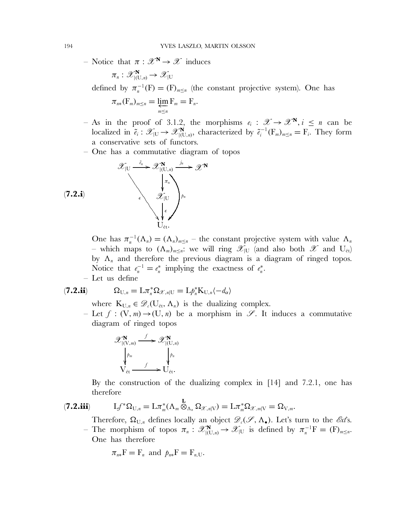– Notice that  $\pi : \mathscr{X}^{\mathbf{N}} \to \mathscr{X}$  induces

$$
\pi_n:\mathscr{X}^{\mathbf{N}}_{|(\mathrm{U},n)}\to\mathscr{X}_{|\mathrm{U}}
$$

defined by  $\pi_n^{-1}(F) = (F)_{m \leq n}$  (the constant projective system). One has

$$
\pi_{n*}(\mathbf{F}_m)_{m \leq n} = \varprojlim_{m \leq n} \mathbf{F}_m = \mathbf{F}_n.
$$

- As in the proof of 3.1.2, the morphisms  $e_i : \mathcal{X} \to \mathcal{X}^N, i \leq n$  can be localized in  $\tilde{e}_i : \mathscr{X}_{|U} \to \mathscr{X}_{|U,n}^{\mathbf{N}}$ , characterized by  $\tilde{e}_i^{-1}(\mathbf{F}_m)_{m \le n} = \mathbf{F}_i$ . They form a conservative sets of functors.
- One has a commutative diagram of topos

$$
\mathscr{X}_{|U} \xrightarrow{\tilde{e}_n} \mathscr{X}_{|U,n}^{\mathbf{N}} \xrightarrow{\tilde{f}_n} \mathscr{X}^{\mathbf{N}}
$$
  

$$
\downarrow \pi_n
$$
  

$$
\mathscr{X}_{|U}\downarrow_{p_n}
$$
  

$$
\downarrow_{\epsilon}
$$
  

$$
\downarrow_{\epsilon}
$$
  

$$
\downarrow_{\epsilon}
$$
  

$$
\downarrow_{\epsilon}
$$

One has  $\pi_n^{-1}(\Lambda_n) = (\Lambda_n)_{n \leq n}$  – the constant projective system with value  $\Lambda_n$ – which maps to  $(\Lambda_m)_{m\leq n}$ : we will ring  $\mathscr{X}_{|U}$  (and also both  $\mathscr{X}$  and  $U_{\text{\'et}}$ ) by  $\Lambda_n$  and therefore the previous diagram is a diagram of ringed topos. Notice that  $e_n^{-1} = e_n^*$  implying the exactness of  $e_n^*$ .

– Let us define

$$
(\mathbf{7.2.ii}) \hspace{1cm} \Omega_{U,n} = L \pi_n^* \Omega_{\mathscr{X},n|U} = L \beta_n^* K_{U,n} \langle -d_{\alpha} \rangle
$$

where  $K_{U,n} \in \mathscr{D}_{\ell}(U_{\text{\'et}}, \Lambda_n)$  is the dualizing complex.

– Let  $f: (V, m) \rightarrow (U, n)$  be a morphism in  $\mathscr{S}$ . It induces a commutative diagram of ringed topos

$$
\mathscr{X}_{|(\mathbf{V},m)}^{\mathbf{N}} \xrightarrow{f} \mathscr{X}_{|(\mathbf{U},n)}^{\mathbf{N}}
$$

$$
\downarrow^{p_m} \qquad \qquad \downarrow^{p_n}
$$

$$
\mathbf{V}_{\text{\'et}} \xrightarrow{f} \mathbf{U}_{\text{\'et}}.
$$

By the construction of the dualizing complex in [14] and 7.2.1, one has therefore

$$
(\mathbf{7.2.iii}) \qquad \qquad Lf^*\Omega_{U,n} = L\pi_m^*(\Lambda_m \otimes_{\Lambda_n} \Omega_{\mathscr{X},n|V}) = L\pi_m^*\Omega_{\mathscr{X},m|V} = \Omega_{V,m}.
$$

Therefore,  $\Omega_{U,n}$  defines locally an object  $\mathscr{D}_{\ell}(\mathscr{S}, \Lambda_{\bullet})$ . Let's turn to the *Ext*'s.

– The morphism of topos  $\pi_n$  :  $\mathscr{X}_{(U,n)}^N$  →  $\mathscr{X}_{(U)}$  is defined by  $\pi_n^{-1}F = (F)_{m \le n}$ . One has therefore

$$
\pi_{n*}F = F_n \text{ and } p_{n*}F = F_{n,U}.
$$

 $(7)$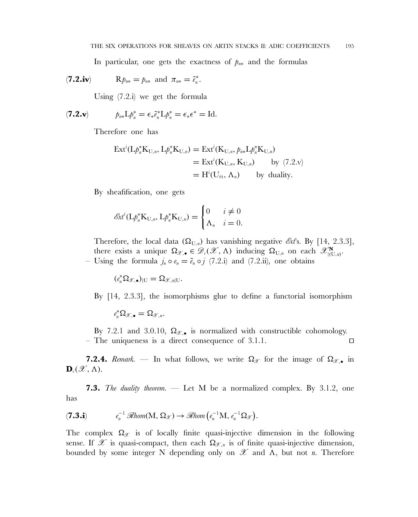In particular, one gets the exactness of  $p_{n*}$  and the formulas

$$
(\mathbf{7.2.iv}) \quad \mathbf{R} p_{n*} = p_{n*} \text{ and } \pi_{n*} = \tilde{e}_n^*.
$$

Using (7.2.i) we get the formula

$$
(\mathbf{7.2. v}) \t\t p_{n*} \mathcal{L} p_n^* = \epsilon_* \tilde{e}_n^* \mathcal{L} p_n^* = \epsilon_* \epsilon^* = \mathrm{Id}.
$$

Therefore one has

$$
\begin{aligned} \operatorname{Ext}^i(\mathcal{L}\phi_n^* \mathcal{K}_{\mathcal{U},n}, \mathcal{L}\phi_n^* \mathcal{K}_{\mathcal{U},n}) &= \operatorname{Ext}^i(\mathcal{K}_{\mathcal{U},n}, \rho_{n*} \mathcal{L}\phi_n^* \mathcal{K}_{\mathcal{U},n}) \\ &= \operatorname{Ext}^i(\mathcal{K}_{\mathcal{U},n}, \mathcal{K}_{\mathcal{U},n}) \qquad \text{by (7.2.v)} \\ &= \operatorname{H}^i(\mathcal{U}_{\text{\'et}}, \Lambda_n) \qquad \text{by duality.} \end{aligned}
$$

By sheafification, one gets

$$
\mathcal{E}xt^{i}(\mathbf{L}\rho_{n}^{*}\mathbf{K}_{\mathbf{U},n},\mathbf{L}\rho_{n}^{*}\mathbf{K}_{\mathbf{U},n})=\begin{cases}0 & i \neq 0\\ \Lambda_{n} & i=0.\end{cases}
$$

Therefore, the local data  $(\Omega_{U,n})$  has vanishing negative  $\mathscr{E}xt$ s. By [14, 2.3.3], there exists a unique  $\Omega_{\mathscr{X},\bullet} \in \mathscr{D}_{\varepsilon}(\mathscr{X},\Lambda)$  inducing  $\Omega_{U,n}$  on each  $\mathscr{X}_{\vert (U,n)}^{\mathbf{N}}$ . – Using the formula  $j_n \circ e_n = \tilde{e}_n \circ j$  (7.2.i) and (7.2.ii), one obtains

 $(e_n^* \Omega_{\mathscr{X},\bullet})_{|\mathbf{U}} = \Omega_{\mathscr{X},n|\mathbf{U}}.$ 

By [14, 2.3.3], the isomorphisms glue to define a functorial isomorphism

$$
e_n^*\Omega_{\mathscr{X},\bullet}=\Omega_{\mathscr{X},n}.
$$

By 7.2.1 and 3.0.10,  $\Omega_{\mathscr{X},\bullet}$  is normalized with constructible cohomology. – The uniqueness is a direct consequence of 3.1.1.  $\Box$ 

**7.2.4.** *Remark.* — In what follows, we write  $\Omega_{\mathcal{X}}$  for the image of  $\Omega_{\mathcal{X}}$ , in  $\mathbf{D}_{c}(\mathscr{X}, \Lambda).$ 

**7.3.** *The duality theorem.* — Let M be a normalized complex. By 3.1.2, one has

$$
(\mathbf{7.3. i}) \t e_n^{-1} \mathcal{R}hom(M, \Omega_{\mathcal{X}}) \to \mathcal{R}hom\left(e_n^{-1}M, e_n^{-1} \Omega_{\mathcal{X}}\right).
$$

The complex  $\Omega_{\mathscr{X}}$  is of locally finite quasi-injective dimension in the following sense. If  $\mathscr X$  is quasi-compact, then each  $\Omega_{\mathscr X,n}$  is of finite quasi-injective dimension, bounded by some integer N depending only on  $\mathscr X$  and  $\Lambda$ , but not *n*. Therefore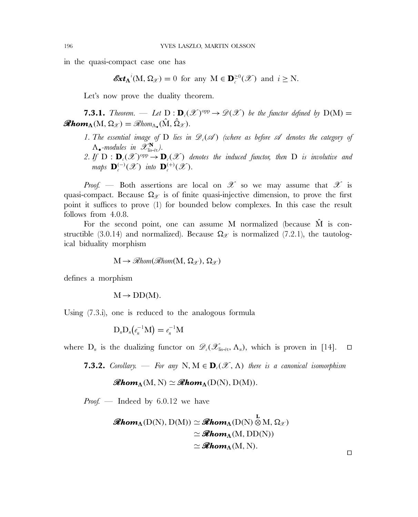in the quasi-compact case one has

$$
\mathbf{\mathscr{E}}\mathbf{\mathscr{E}}\mathbf{\mathscr{L}}_{\Lambda}(\mathbf{M}, \Omega_{\mathscr{X}}) = 0 \text{ for any } \mathbf{M} \in \mathbf{D}_{c}^{\geq 0}(\mathscr{X}) \text{ and } i \geq \mathbf{N}.
$$

Let's now prove the duality theorem.

**7.3.1.** *Theorem.* — Let  $D: D_c(\mathcal{X})^{\text{opp}} \to \mathcal{D}(\mathcal{X})$  be the functor defined by  $D(M) =$  $\mathscr{R}\mathbf{hom}_{\Lambda}(\mathbf{M}, \Omega_{\mathscr{X}}) = \mathscr{R}\mathbf{hom}_{\Lambda_{\bullet}}(\hat{\mathbf{M}}, \hat{\Omega}_{\mathscr{X}}).$ 

- 1. The essential image of D lies in  $\mathscr{D}_c(\mathscr{A})$  *(where as before*  $\mathscr A$  *denotes the category of*  $\Lambda_{\bullet}$ *-modules in*  $\mathscr{X}_{\text{lis-\'et}}^{\mathbf{N}}$ .
- 2. If  $D : D_c(\mathcal{X})^{\text{opp}} \to D_c(\mathcal{X})$  denotes the induced functor, then D is involutive and *maps*  $\mathbf{D}_{c}^{(-)}(\mathscr{X})$  *into*  $\mathbf{D}_{c}^{(+)}(\mathscr{X})$ *.*

*Proof.* — Both assertions are local on  $\mathscr X$  so we may assume that  $\mathscr X$  is quasi-compact. Because  $\Omega_{\mathscr{X}}$  is of finite quasi-injective dimension, to prove the first point it suffices to prove (1) for bounded below complexes. In this case the result follows from 4.0.8.

For the second point, one can assume M normalized (because  $\hat{M}$  is constructible (3.0.14) and normalized). Because  $\Omega_{\mathscr{X}}$  is normalized (7.2.1), the tautological biduality morphism

$$
M \to \mathcal{R}hom(\mathcal{R}hom(M, \Omega_{\mathcal{X}}), \Omega_{\mathcal{X}})
$$

defines a morphism

 $M \rightarrow DD(M)$ .

Using (7.3.i), one is reduced to the analogous formula

 $D_n D_n(e_n^{-1}M) = e_n^{-1}M$ 

where  $D_n$  is the dualizing functor on  $\mathscr{D}_{c}(\mathscr{X}_{\text{lis-\'et}}, \Lambda_n)$ , which is proven in [14].  $\square$ 

**7.3.2.** *Corollary.* — For any N,  $M \in \mathbf{D}_{c}(\mathscr{X}, \Lambda)$  there is a canonical isomorphism

 $\mathscr{R}\mathbf{hom}_{\Lambda}(\mathbf{M}, \mathbf{N}) \simeq \mathscr{R}\mathbf{hom}_{\Lambda}(\mathbf{D}(\mathbf{N}), \mathbf{D}(\mathbf{M})).$ 

*Proof. —* Indeed by 6.0.12 we have

$$
\mathscr{Rhom}_{\Lambda}(D(N), D(M)) \simeq \mathscr{Rhom}_{\Lambda}(D(N) \overset{L}{\otimes} M, \Omega_{\mathscr{X}})
$$
  
\n
$$
\simeq \mathscr{Rhom}_{\Lambda}(M, DD(N))
$$
  
\n
$$
\simeq \mathscr{Rhom}_{\Lambda}(M, N).
$$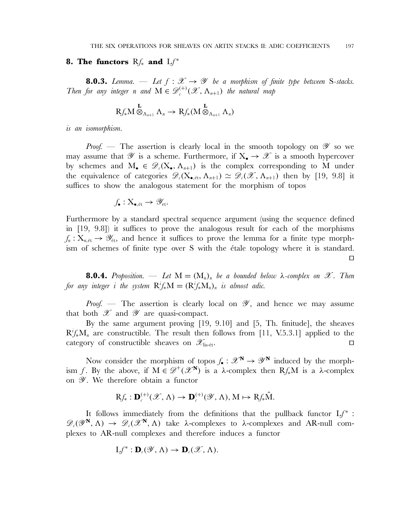#### **8. The functors** Rf<sub>∗</sub> and Lf<sup>∗</sup>

**8.0.3.** *Lemma.* — Let  $f : \mathcal{X} \to \mathcal{Y}$  be a morphism of finite type between S-stacks. *Then for any integer n* and  $M \in \mathscr{D}_{c}^{(+)}(\mathscr{X}, \Lambda_{n+1})$  *the natural map* 

$$
\operatorname{Rf}_*M\stackrel{\mathbf{L}}{\otimes}_{\Lambda_{n+1}}\Lambda_n\to \operatorname{Rf}_*(M\stackrel{\mathbf{L}}{\otimes}_{\Lambda_{n+1}}\Lambda_n)
$$

*is an isomorphism.*

*Proof.* — The assertion is clearly local in the smooth topology on  $\mathscr Y$  so we may assume that  $\mathscr Y$  is a scheme. Furthermore, if  $X_{\bullet} \to \mathscr X$  is a smooth hypercover by schemes and  $M_{\bullet} \in \mathscr{D}_{c}(X_{\bullet}, \Lambda_{n+1})$  is the complex corresponding to M under the equivalence of categories  $\mathscr{D}_{c}(X_{\bullet, \text{\text{\'et}}}, \Lambda_{n+1}) \simeq \mathscr{D}_{c}(\mathscr{X}, \Lambda_{n+1})$  then by [19, 9.8] it suffices to show the analogous statement for the morphism of topos

$$
f_{\bullet}: X_{\bullet, \text{\'et}} \to \mathscr{Y}_{\text{\'et}}.
$$

Furthermore by a standard spectral sequence argument (using the sequence defined in [19, 9.8]) it suffices to prove the analogous result for each of the morphisms  $f_n: X_{n, \text{\'et}} \to \mathscr{Y}_{\text{\'et}}$ , and hence it suffices to prove the lemma for a finite type morphism of schemes of finite type over S with the *étale topology* where it is standard.

 $\Box$ 

**8.0.4.** *Proposition.* — Let  $M = (M_n)_n$  *be a bounded below*  $\lambda$ -complex on  $\mathscr{X}$ *. Then for any integer i the system*  $R^i f_* M = (R^i f_* M_n)_n$  *is almost adic.* 

*Proof.* — The assertion is clearly local on  $\mathscr{Y}$ , and hence we may assume that both  $\mathscr X$  and  $\mathscr Y$  are quasi-compact.

By the same argument proving [19, 9.10] and [5, Th. finitude], the sheaves  $R^i f_* M_n$  are constructible. The result then follows from [11, V.5.3.1] applied to the category of constructible sheaves on  $\mathscr{X}_{\text{lis-\'et}}$ .

Now consider the morphism of topos  $f_{\bullet}: \mathscr{X}^{\mathbb{N}} \to \mathscr{Y}^{\mathbb{N}}$  induced by the morphism f. By the above, if  $M \in \mathscr{D}^+(\mathscr{X}^N)$  is a  $\lambda$ -complex then  $Rf_*M$  is a  $\lambda$ -complex on  $\mathscr Y$ . We therefore obtain a functor

$$
\mathrm Rf_*: \mathbf D_{\iota}^{(+)}(\mathscr X,\Lambda)\to \mathbf D_{\iota}^{(+)}(\mathscr Y,\Lambda), \mathrm M\mapsto \mathrm Rf_*\hat{\mathrm M}.
$$

It follows immediately from the definitions that the pullback functor  $Lf^*$ :  $\mathscr{D}_{c}(\mathscr{Y}^{\mathbf{N}},\Lambda) \rightarrow \mathscr{D}_{c}(\mathscr{X}^{\mathbf{N}},\Lambda)$  take  $\lambda$ -complexes to  $\lambda$ -complexes and AR-null complexes to AR-null complexes and therefore induces a functor

$$
Lf^*: \mathbf{D}_{\iota}(\mathscr{Y}, \Lambda) \to \mathbf{D}_{\iota}(\mathscr{X}, \Lambda).
$$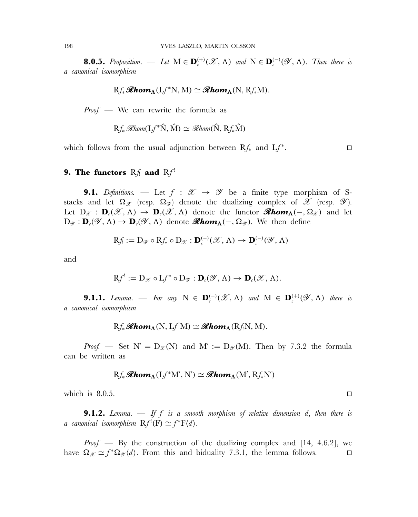**8.0.5.** *Proposition.* — Let  $M \in \mathbf{D}_{c}^{(+)}(\mathcal{X}, \Lambda)$  and  $N \in \mathbf{D}_{c}^{(-)}(\mathcal{Y}, \Lambda)$ *. Then there is a canonical isomorphism*

$$
Rf_*\mathscr{R}\mathbf{hom}_{\Lambda}(Lf^*N, M) \simeq \mathscr{R}\mathbf{hom}_{\Lambda}(N, Rf_*M).
$$

*Proof. —* We can rewrite the formula as

$$
Rf_* \mathcal{R}hom(Lf^*\hat{N}, \hat{M}) \simeq \mathcal{R}hom(\hat{N}, Rf_*\hat{M})
$$

which follows from the usual adjunction between  $Rf_*$  and  $Lf^*$ .

# **9. The functors**  $Rf_1$  and  $Rf_1$ <sup>!</sup>

**9.1.** *Definitions.* — Let  $f : \mathcal{X} \rightarrow \mathcal{Y}$  be a finite type morphism of Sstacks and let  $\Omega_{\mathscr{X}}$  (resp.  $\Omega_{\mathscr{Y}}$ ) denote the dualizing complex of  $\mathscr{X}$  (resp.  $\mathscr{Y}$ ). Let  $D_x : D_c(\mathscr{X}, \Lambda) \to D_c(\mathscr{X}, \Lambda)$  denote the functor **Abom**<sub> $\Lambda$ </sub>(-,  $\Omega_x$ ) and let  $D_{\mathscr{Y}}: \mathbf{D}_{\ell}(\mathscr{Y}, \Lambda) \to \mathbf{D}_{\ell}(\mathscr{Y}, \Lambda)$  denote **Abom**<sub> $\Lambda$ </sub>(-,  $\Omega_{\mathscr{Y}}$ ). We then define

$$
\mathrm{R}f_{\cdot} := \mathrm{D}_{\mathscr{Y}} \circ \mathrm{R}f_{*} \circ \mathrm{D}_{\mathscr{X}} : \mathbf{D}_{\cdot}^{(-)}(\mathscr{X}, \Lambda) \to \mathbf{D}_{\cdot}^{(-)}(\mathscr{Y}, \Lambda)
$$

and

$$
\mathrm{R}f':=\mathrm{D}_{\mathscr{X}}\circ\mathrm{L}f^*\circ\mathrm{D}_{\mathscr{Y}}:\mathbf{D}_{\scriptscriptstyle{\ell}}(\mathscr{Y},\Lambda)\to\mathbf{D}_{\scriptscriptstyle{\ell}}(\mathscr{X},\Lambda).
$$

**9.1.1.** *Lemma.* — For any  $N \in \mathbf{D}_{c}^{(-)}(\mathscr{X}, \Lambda)$  and  $M \in \mathbf{D}_{c}^{(+)}(\mathscr{Y}, \Lambda)$  there is *a canonical isomorphism*

$$
Rf_*\mathscr{R}\mathbf{hom}_{\mathbf{\Lambda}}(N, Lf^!\mathbf{M}) \simeq \mathscr{R}\mathbf{hom}_{\mathbf{\Lambda}}(Rf_!\mathbf{N}, M).
$$

*Proof.* — Set  $N' = D_{\mathcal{X}}(N)$  and  $M' := D_{\mathcal{Y}}(M)$ . Then by 7.3.2 the formula can be written as

$$
Rf_*\mathscr{R}\mathbf{hom}_{\Lambda}(Lf^*M',N')\simeq\mathscr{R}\mathbf{hom}_{\Lambda}(M',Rf_*N')
$$

which is 8.0.5.

**9.1.2.** *Lemma. — If* f *is a smooth morphism of relative dimension* d*, then there is a* canonical isomorphism  $\mathrm{R} f'(\mathrm{F}) \simeq f^* \mathrm{F}\langle d \rangle$ .

*Proof.* — By the construction of the dualizing complex and [14, 4.6.2], we have  $\Omega_{\mathscr{X}} \simeq f^* \Omega_{\mathscr{Y}} \langle d \rangle$ . From this and biduality 7.3.1, the lemma follows.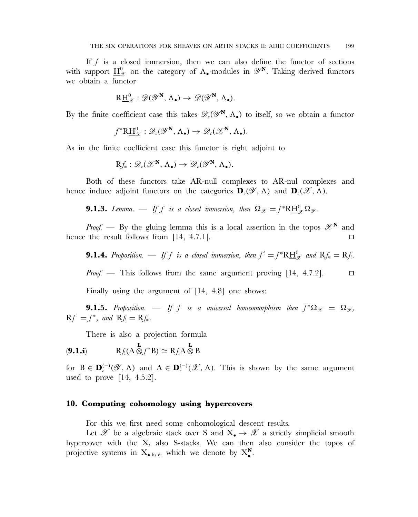If  $f$  is a closed immersion, then we can also define the functor of sections with support  $\underline{H}^0_{\mathscr{X}}$  on the category of  $\Lambda_{\bullet}$ -modules in  $\mathscr{Y}^{\mathbf{N}}$ . Taking derived functors we obtain a functor

$$
R\underline{H}^0_{\mathscr{X}}:\mathscr{D}(\mathscr{Y}^{\mathbf{N}},\Lambda_{\bullet})\to\mathscr{D}(\mathscr{Y}^{\mathbf{N}},\Lambda_{\bullet}).
$$

By the finite coefficient case this takes  $\mathscr{D}_{\ell}(\mathscr{Y}^{\mathbf{N}}, \Lambda_{\bullet})$  to itself, so we obtain a functor

$$
f^*\mathrm{R}\underline{\mathrm{H}}_{\mathscr{X}}^0:\mathscr{D}_c(\mathscr{Y}^\mathbf{N},\Lambda_\bullet)\to\mathscr{D}_c(\mathscr{X}^\mathbf{N},\Lambda_\bullet).
$$

As in the finite coefficient case this functor is right adjoint to

$$
\mathrm{R}f_*:\mathscr{D}_c(\mathscr{X}^{\mathbf{N}},\Lambda_\bullet)\to\mathscr{D}_c(\mathscr{Y}^{\mathbf{N}},\Lambda_\bullet).
$$

Both of these functors take AR-null complexes to AR-nul complexes and hence induce adjoint functors on the categories  $\mathbf{D}_c(\mathscr{Y}, \Lambda)$  and  $\mathbf{D}_c(\mathscr{X}, \Lambda)$ .

**9.1.3.** *Lemma.* — If f is a closed immersion, then  $\Omega_{\mathscr{X}} = f^*R\underline{H}^0_{\mathscr{X}}\Omega_{\mathscr{Y}}.$ 

*Proof.* — By the gluing lemma this is a local assertion in the topos  $\mathscr{X}^{\mathbf{N}}$  and hence the result follows from  $[14, 4.7.1]$ .

**9.1.4.** Proposition. — If f is a closed immersion, then  $f' = f^*R\underline{H}^0_{\mathscr{X}}$  and  $Rf_* = Rf$ .

*Proof.* — This follows from the same argument proving [14, 4.7.2]. □

Finally using the argument of [14, 4.8] one shows:

**9.1.5.** *Proposition.* — If f is a universal homeomorphism then  $f^*\Omega_x = \Omega_x$ ,  $Rf' = f^*$ *, and*  $Rf = Rf_*$ *.* 

There is also a projection formula

$$
\mathbf{P}(A \mathbf{A}) \qquad \mathbf{R} f_! (\mathbf{A} \otimes f^* \mathbf{B}) \simeq \mathbf{R} f_! \mathbf{A} \otimes \mathbf{B}
$$

for  $B \in \mathbf{D}_{c}^{(-)}(\mathscr{Y}, \Lambda)$  and  $A \in \mathbf{D}_{c}^{(-)}(\mathscr{X}, \Lambda)$ . This is shown by the same argument used to prove [14, 4.5.2].

### **10. Computing cohomology using hypercovers**

For this we first need some cohomological descent results.

Let X be a algebraic stack over S and  $X_{\bullet} \to \mathcal{X}$  a strictly simplicial smooth hypercover with the  $X_i$  also S-stacks. We can then also consider the topos of projective systems in  $X_{\bullet, \text{lis-\'et}}$  which we denote by  $X_{\bullet}^N$ .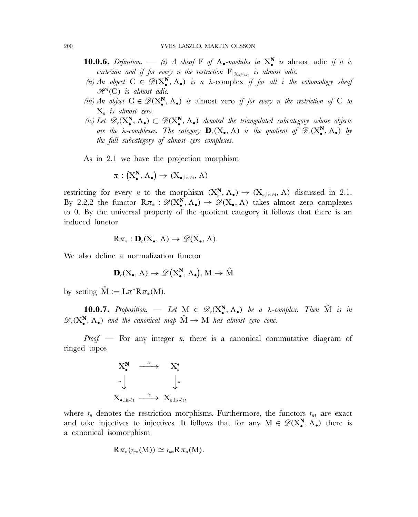- **10.0.6.** *Definition.* (i) A sheaf F of  $\Lambda$ . *modules in*  $X^N$  *is* almost adic *if it is cartesian and if for every n the restriction*  $F|_{X_n|_{x\leftrightarrow t}}$  *is almost adic.*
- *(ii)* An object  $C \in \mathscr{D}(X^N_\bullet, \Lambda_\bullet)$  *is a*  $\lambda$ -complex *if for all i the cohomology sheaf*  $\mathscr{H}^i(C)$  is almost adic.
- *(iii)* An object  $C \in \mathscr{D}(X^N, \Lambda_{\bullet})$  *is* almost zero *if for every n the restriction of* C *to*  $X_n$  *is almost zero.*
- (*iv*) Let  $\mathscr{D}_c(X^N_\bullet, \Lambda_\bullet) \subset \mathscr{D}(X^N_\bullet, \Lambda_\bullet)$  denoted the triangulated subcategory whose objects *are the*  $\lambda$ -complexes. The category  $\mathbf{D}_c(X_\bullet, \Lambda)$  is the quotient of  $\mathscr{D}_c(X_\bullet^N, \Lambda_\bullet)$  by *the full subcategory of almost zero complexes.*

As in 2.1 we have the projection morphism

$$
\pi: (\mathrm{X}^\mathbf{N}_\bullet, \, \Lambda_\bullet) \to (\mathrm{X}_{\bullet,\mathrm{lis\text{-}\acute{e}t}}, \, \Lambda)
$$

restricting for every *n* to the morphism  $(X_n^N, \Lambda_{\bullet}) \to (X_{n,\text{lis-\'et}}, \Lambda)$  discussed in 2.1. By 2.2.2 the functor  $R\pi_* : \mathscr{D}(X^N_*, \Lambda_*) \to \mathscr{D}(X_*, \Lambda)$  takes almost zero complexes to 0. By the universal property of the quotient category it follows that there is an induced functor

$$
R\pi_*: \mathbf{D}_{\iota}(X_{\bullet}, \Lambda) \to \mathscr{D}(X_{\bullet}, \Lambda).
$$

We also define a normalization functor

$$
\mathbf{D}_{\ell}(X_{\bullet}, \Lambda) \to \mathscr{D}\big(X_{\bullet}^{N}, \Lambda_{\bullet}\big), M \mapsto \hat{M}
$$

by setting  $\hat{M} := L\pi^*R\pi_*(M)$ .

**10.0.7.** *Proposition.* — Let  $M \in \mathscr{D}_c(X^N_\bullet, \Lambda_\bullet)$  be a  $\lambda$ -complex. Then  $\hat{M}$  is in  $\mathscr{D}_{c}(X_{\bullet}^{N}, \Lambda_{\bullet})$  and the canonical map  $\hat{M} \to M$  has almost zero cone.

*Proof.* — For any integer *n*, there is a canonical commutative diagram of ringed topos



where  $r_n$  denotes the restriction morphisms. Furthermore, the functors  $r_{n*}$  are exact and take injectives to injectives. It follows that for any  $M \in \mathscr{D}(X^N_\bullet, \Lambda_\bullet)$  there is a canonical isomorphism

$$
R\pi_*(r_{n*}(M)) \simeq r_{n*}R\pi_*(M).
$$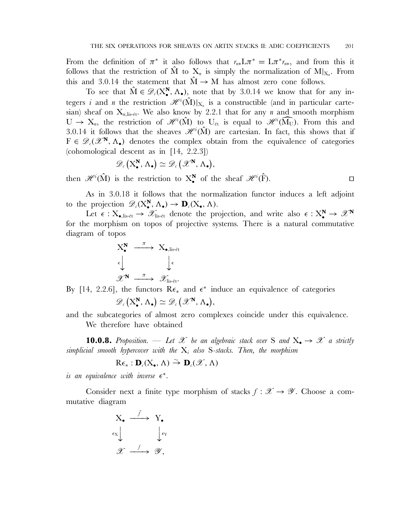From the definition of  $\pi^*$  it also follows that  $r_{n*}L\pi^* = L\pi^*r_{n*}$ , and from this it follows that the restriction of  $\hat{M}$  to  $X_n$  is simply the normalization of  $M|_{X_n}$ . From this and 3.0.14 the statement that  $\hat{M} \rightarrow M$  has almost zero cone follows.

To see that  $\hat{M} \in \mathscr{D}_{c}(X_{\bullet}^{N}, \Lambda_{\bullet}),$  note that by 3.0.14 we know that for any integers i and n the restriction  $\mathscr{H}^i(\hat{\mathrm{M}})|_{X_n}$  is a constructible (and in particular cartesian) sheaf on  $X_{n,lis-ét}$ . We also know by 2.2.1 that for any n and smooth morphism  $U \to X_n$ , the restriction of  $\mathscr{H}^i(\hat{M})$  to  $U_{\text{\'et}}$  is equal to  $\mathscr{H}^i(\widehat{M_U})$ . From this and  $3.0, 14$  it follows that the sheaves  $\mathscr{H}^i(\hat{M})$  are cartesian. In fact, this shows that if 3.0.14 it follows that the sheaves  $\mathscr{H}^i(\hat{\mathbf{M}})$  are cartesian. In fact, this shows that if  $F \in \mathscr{D}_{\ell}(\mathscr{X}^{\mathbf{N}}, \Lambda_{\bullet})$  denotes the complex obtain from the equivalence of categories (cohomological descent as in [14, 2.2.3])

$$
\mathscr{D}_{c}\left(\mathrm{X}_{\bullet}^{\mathbf{N}},\Lambda_{\bullet}\right)\simeq\mathscr{D}_{c}\left(\mathscr{X}^{\mathbf{N}},\Lambda_{\bullet}\right),
$$

then  $\mathscr{H}^i(\hat{M})$  is the restriction to  $X^N_\bullet$  of the sheaf  $\mathscr{H}^i(\hat{F})$ .

As in 3.0.18 it follows that the normalization functor induces a left adjoint to the projection  $\mathscr{D}_{c}(X^N_\bullet, \Lambda_\bullet) \to \mathbf{D}_{c}(X_\bullet, \Lambda)$ .

Let  $\epsilon : X_{\bullet,\text{lis-\'et}} \to \mathscr{X}_{\text{lis-\'et}}$  denote the projection, and write also  $\epsilon : X_{\bullet}^{\mathbf{N}} \to \mathscr{X}^{\mathbf{N}}$ for the morphism on topos of projective systems. There is a natural commutative diagram of topos

$$
\begin{array}{ccc}\nX_{\bullet}^{\mathbf{N}} & \xrightarrow{\pi} & X_{\bullet,\text{lis-\'et}} \\
\epsilon & & \downarrow \\
\mathscr{X}^{\mathbf{N}} & \xrightarrow{\pi} & \mathscr{X}_{\text{lis-\'et}}.\n\end{array}
$$

By [14, 2.2.6], the functors  $\mathbb{R}\epsilon_{*}$  and  $\epsilon^{*}$  induce an equivalence of categories  $\mathscr{D}_{c}\left(\mathrm{X}_{\bullet}^{\mathbf{N}},\,\Lambda_{\bullet}\right)\simeq\mathscr{D}_{c}\left(\mathscr{X}^{\mathbf{N}},\,\Lambda_{\bullet}\right),$ 

and the subcategories of almost zero complexes coincide under this equivalence. We therefore have obtained

**10.0.8.** Proposition. — Let  $\mathcal{X}$  be an algebraic stack over S and  $X_{\bullet} \to \mathcal{X}$  a strictly *simplicial smooth hypercover with the* Xi *also* S*-stacks. Then, the morphism*

$$
R\epsilon_* : \mathbf{D}_{\ell}(X_{\bullet}, \Lambda) \stackrel{\sim}{\to} \mathbf{D}_{\ell}(\mathscr{X}, \Lambda)
$$

*is an equivalence with inverse*  $\epsilon^*$ .

Consider next a finite type morphism of stacks  $f : \mathscr{X} \to \mathscr{Y}$ . Choose a commutative diagram

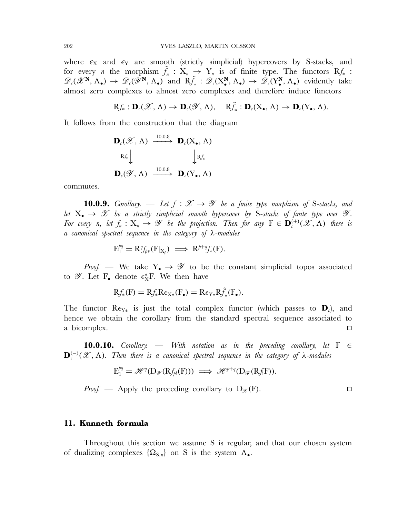where  $\epsilon_X$  and  $\epsilon_Y$  are smooth (strictly simplicial) hypercovers by S-stacks, and for every *n* the morphism  $\tilde{f}_n$  :  $X_n \to Y_n$  is of finite type. The functors  $Rf_*$  :  $\mathscr{D}_{c}(\mathscr{X}^{\mathbf{N}}, \Lambda_{\bullet}) \to \mathscr{D}_{c}(\mathscr{Y}^{\mathbf{N}}, \Lambda_{\bullet})$  and  $R\tilde{f}_{*}: \mathscr{D}_{c}(X_{\bullet}^{\mathbf{N}}, \Lambda_{\bullet}) \to \mathscr{D}_{c}(Y_{\bullet}^{\mathbf{N}}, \Lambda_{\bullet})$  evidently take almost zero complexes to almost zero complexes and therefore induce functors

 $Rf_* : \mathbf{D}_c(\mathscr{X}, \Lambda) \to \mathbf{D}_c(\mathscr{Y}, \Lambda), \quad R\tilde{f}_* : \mathbf{D}_c(X_\bullet, \Lambda) \to \mathbf{D}_c(Y_\bullet, \Lambda).$ 

It follows from the construction that the diagram

$$
\mathbf{D}_{c}(\mathscr{X}, \Lambda) \xrightarrow{10.0.8} \mathbf{D}_{c}(\mathbf{X}_{\bullet}, \Lambda)
$$
\n
$$
\mathbf{R}_{f_{*}} \downarrow \qquad \qquad \downarrow \mathbf{R}_{f_{*}}
$$
\n
$$
\mathbf{D}_{c}(\mathscr{Y}, \Lambda) \xrightarrow{10.0.8} \mathbf{D}_{c}(\mathbf{Y}_{\bullet}, \Lambda)
$$

commutes.

**10.0.9.** *Corollary.* — Let  $f : \mathcal{X} \rightarrow \mathcal{Y}$  be a finite type morphism of S-stacks, and *let*  $X_{\bullet} \rightarrow \mathcal{X}$  *be a strictly simplicial smooth hypercover by S-stacks of finite type over*  $\mathcal{Y}$ *. For every n, let*  $f_n: X_n \to \mathscr{Y}$  *be the projection. Then for any*  $F \in \mathbf{D}_{\epsilon}^{(+)}(\mathscr{X}, \Lambda)$  *there is a canonical spectral sequence in the category of* λ*-modules*

$$
E_1^{pq} = R^q f_{p*}(F|_{X_p}) \implies R^{p+q} f_*(F).
$$

*Proof.* — We take  $Y_{\bullet} \rightarrow \mathscr{Y}$  to be the constant simplicial topos associated to  $\mathscr Y$ . Let  $F_{\bullet}$  denote  $\epsilon_X^*F$ . We then have

$$
Rf_*(F) = Rf_*R\epsilon_{X*}(F_{\bullet}) = R\epsilon_{Y*}R\tilde{f}_*(F_{\bullet}).
$$

The functor  $\mathbb{R}\epsilon_{Y*}$  is just the total complex functor (which passes to  $\mathbf{D}_c$ ), and hence we obtain the corollary from the standard spectral sequence associated to a bicomplex.

**10.0.10.** *Corollary. — With notation as in the preceding corollary, let* F ∈  $\mathbf{D}_{c}^{(-)}(\mathscr{X}, \Lambda)$ . Then there is a canonical spectral sequence in the category of  $\lambda$ -modules

$$
E_1^{pq} = \mathscr{H}^q(D_{\mathscr{Y}}(Rf_{\rho!}(F))) \implies \mathscr{H}^{p+q}(D_{\mathscr{Y}}(Rf_{!}F)).
$$

*Proof.* — Apply the preceding corollary to  $D_{\mathscr{X}}(F)$ .

#### **11. Kunneth formula**

Throughout this section we assume S is regular, and that our chosen system of dualizing complexes  $\{\Omega_{S,n}\}\$  on S is the system  $\Lambda_{\bullet}$ .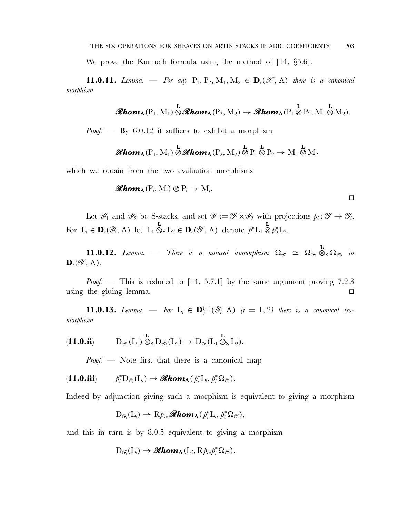We prove the Kunneth formula using the method of [14, §5.6].

**11.0.11.** *Lemma.* — For any  $P_1, P_2, M_1, M_2 \in \mathbf{D}_c(\mathcal{X}, \Lambda)$  *there is a canonical morphism*

$$
\mathscr{R}\textit{hom}_{\Lambda}(P_1, M_1) \overset{\mathbf{L}}{\otimes} \mathscr{R}\textit{hom}_{\Lambda}(P_2, M_2) \to \mathscr{R}\textit{hom}_{\Lambda}(P_1 \overset{\mathbf{L}}{\otimes} P_2, M_1 \overset{\mathbf{L}}{\otimes} M_2).
$$

*Proof. —* By 6.0.12 it suffices to exhibit a morphism

$$
\text{Rhom}_{\Lambda}(P_1,M_1)\overset{\mathbf{L}}{\otimes}\text{Rhom}_{\Lambda}(P_2,M_2)\overset{\mathbf{L}}{\otimes}P_1\overset{\mathbf{L}}{\otimes}P_2\rightarrow M_1\overset{\mathbf{L}}{\otimes}M_2
$$

which we obtain from the two evaluation morphisms

$$
\mathscr{R}\mathbf{hom}_{\mathbf{\Lambda}}(\mathbf{P}_i,\mathbf{M}_i)\otimes\mathbf{P}_i\to\mathbf{M}_i.
$$

Let  $\mathscr{Y}_1$  and  $\mathscr{Y}_2$  be S-stacks, and set  $\mathscr{Y} := \mathscr{Y}_1 \times \mathscr{Y}_2$  with projections  $p_i : \mathscr{Y} \to \mathscr{Y}_i$ . For  $L_i \in \mathbf{D}_c(\mathscr{Y}_i, \Lambda)$  let  $L_1 \otimes_S L_2 \in \mathbf{D}_c(\mathscr{Y}, \Lambda)$  denote  $p_1^*L_1 \otimes p_2^*L_2$ .

**11.0.12.** *Lemma.* — There is a natural isomorphism  $\Omega_{\mathcal{Y}} \simeq \Omega_{\mathcal{Y}_1} \otimes_S \Omega_{\mathcal{Y}_2}$  in  $\mathbf{D}_c(\mathscr{Y}, \Lambda)$ .

*Proof.* — This is reduced to [14, 5.7.1] by the same argument proving 7.2.3 using the gluing lemma.

**11.0.13.** *Lemma.* — For  $L_i \in \mathbf{D}_c^{(-)}(\mathscr{Y}_i, \Lambda)$   $(i = 1, 2)$  there is a canonical iso*morphism*

$$
(\mathbf{11.0.ii}) \qquad D_{\mathscr{Y}_1}(L_1) \overset{\mathbf{L}}{\otimes}_S D_{\mathscr{Y}_2}(L_2) \to D_{\mathscr{Y}}(L_1 \overset{\mathbf{L}}{\otimes}_S L_2).
$$

*Proof.* — Note first that there is a canonical map

$$
(11.0.iii) \t p_i^* D_{\mathscr{Y}_i}(L_i) \to \mathscr{Rhom}_{\Lambda}(p_i^* L_i, p_i^* \Omega_{\mathscr{Y}_i}).
$$

Indeed by adjunction giving such a morphism is equivalent to giving a morphism

$$
D_{\mathscr{Y}_i}(L_i) \to Rp_{i*}\mathscr{Rhom}_{\Lambda}(p_i^*L_i, p_i^*\Omega_{\mathscr{Y}_i}),
$$

and this in turn is by 8.0.5 equivalent to giving a morphism

$$
D_{\mathscr{Y}_i}(L_i) \to \mathcal{Rhom}_{\Lambda}(L_i,R\rho_{i*}\rho_i^*\Omega_{\mathscr{Y}_i}).
$$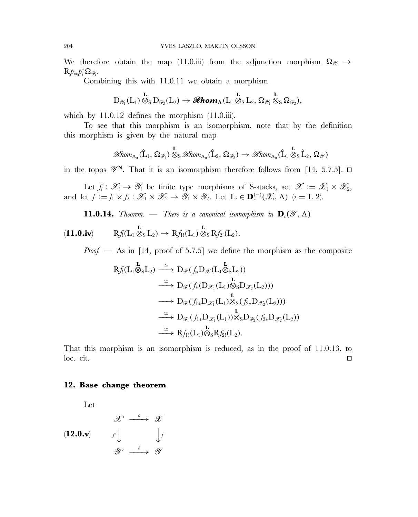We therefore obtain the map (11.0.iii) from the adjunction morphism  $\Omega_{\mathscr{Y}_i} \to$  $\mathrm{R} p_{i*} p_i^* \Omega_{\mathscr{Y}_i}.$ 

Combining this with 11.0.11 we obtain a morphism

$$
D_{\mathscr Y_1}(L_1)\overset{\mathbf{L}}{\otimes}_S D_{\mathscr Y_2}(L_2)\to \mathscr{Rhom}_{\Lambda}(L_1\overset{\mathbf{L}}{\otimes}_SL_2,\Omega_{\mathscr Y_1}\overset{\mathbf{L}}{\otimes}_S\Omega_{\mathscr Y_2}),
$$

which by 11.0.12 defines the morphism  $(11.0.iii)$ .

To see that this morphism is an isomorphism, note that by the definition this morphism is given by the natural map

$$
\mathscr{R}\text{hom}_{\Lambda_{\bullet}}(\hat{L}_1, \Omega_{\mathscr{Y}_1}) \overset{\mathbf{L}}{\otimes}_S \mathscr{R}\text{hom}_{\Lambda_{\bullet}}(\hat{L}_2, \Omega_{\mathscr{Y}_2}) \to \mathscr{R}\text{hom}_{\Lambda_{\bullet}}(\hat{L}_1 \overset{\mathbf{L}}{\otimes}_S \hat{L}_2, \Omega_{\mathscr{Y}})
$$

in the topos  $\mathscr{Y}^{\mathbf{N}}$ . That it is an isomorphism therefore follows from [14, 5.7.5].  $\Box$ 

Let  $f_i: \mathscr{X}_i \to \mathscr{Y}_i$  be finite type morphisms of S-stacks, set  $\mathscr{X} := \mathscr{X}_1 \times \mathscr{X}_2$ , and let  $f := f_1 \times f_2 : \mathscr{X}_1 \times \mathscr{X}_2 \to \mathscr{Y}_1 \times \mathscr{Y}_2$ . Let  $L_i \in \mathbf{D}_c^{(-)}(\mathscr{X}_i, \Lambda)$   $(i = 1, 2)$ .

**11.0.14.** *Theorem.* — *There is a canonical isomorphism in*  $\mathbf{D}_c(\mathscr{Y}, \Lambda)$ 

 $Rf_1(L_1 \otimes_S L_2) \rightarrow Rf_{1!}(L_1) \otimes_S Rf_{2!}(L_2).$ 

*Proof.* — As in [14, proof of 5.7.5] we define the morphism as the composite

$$
Rf_!(L_1 \otimes_S L_2) \xrightarrow{\simeq} D_{\mathscr{Y}}(f_* D_{\mathscr{X}}(L_1 \otimes_S L_2))
$$
  
\n
$$
\xrightarrow{\simeq} D_{\mathscr{Y}}(f_* (D_{\mathscr{X}_1}(L_1) \otimes_S D_{\mathscr{X}_2}(L_2)))
$$
  
\n
$$
\xrightarrow{\simeq} D_{\mathscr{Y}}(f_1_* D_{\mathscr{X}_1}(L_1) \otimes_S (f_2_* D_{\mathscr{X}_2}(L_2)))
$$
  
\n
$$
\xrightarrow{\simeq} D_{\mathscr{Y}_1}(f_1_* D_{\mathscr{X}_1}(L_1)) \otimes_S D_{\mathscr{Y}_2}(f_2_* D_{\mathscr{X}_2}(L_2))
$$
  
\n
$$
\xrightarrow{\simeq} Rf_{1!}(L_1) \otimes_S Rf_{2!}(L_2).
$$

That this morphism is an isomorphism is reduced, as in the proof of 11.0.13, to  $\Box$  loc. cit.

### **12. Base change theorem**

Let

$$
\begin{array}{ccc}\n & & \mathscr{X}' & \xrightarrow{a} & \mathscr{X} \\
(12.0. \mathbf{v}) & & & \downarrow f \\
 & & & \mathscr{Y}' & \xrightarrow{b} & \mathscr{Y}\n\end{array}
$$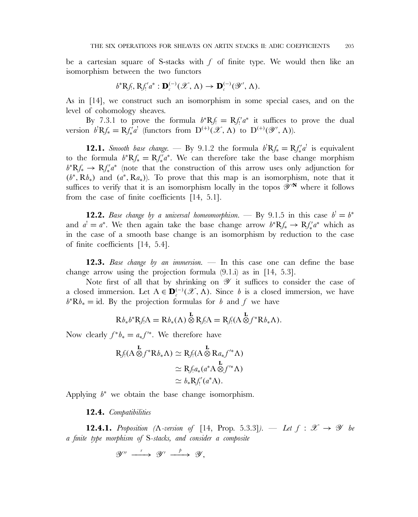be a cartesian square of S-stacks with  $f$  of finite type. We would then like an isomorphism between the two functors

$$
b^*Rf_1, Rf'_1a^*: \mathbf{D}_c^{(-)}(\mathscr{X}, \Lambda) \to \mathbf{D}_c^{(-)}(\mathscr{Y}', \Lambda).
$$

As in [14], we construct such an isomorphism in some special cases, and on the level of cohomology sheaves.

By 7.3.1 to prove the formula  $b^*Rf = Rf'_i a^*$  it suffices to prove the dual version  $b^{\dagger}Rf_{*} = Rf'_{*}a^{\dagger}$  (functors from  $D^{(+)}(\mathscr{X}, \Lambda)$  to  $D^{(+)}(\mathscr{Y}, \Lambda)$ ).

**12.1.** *Smooth base change.* — By 9.1.2 the formula  $b^{\dagger}Rf_{*} = Rf_{*}^{\dagger}a^{\dagger}$  is equivalent to the formula  $b^*Rf_* = Rf'_*a^*$ . We can therefore take the base change morphism  $b^*Rf_* \to Rf'_*a^*$  (note that the construction of this arrow uses only adjunction for  $(b<sup>*</sup>, Rb<sub>*</sub>)$  and  $(a<sup>*</sup>, Ra<sub>*</sub>)$ ). To prove that this map is an isomorphism, note that it suffices to verify that it is an isomorphism locally in the topos  $\mathscr{Y}^N$  where it follows from the case of finite coefficients [14, 5.1].

**12.2.** Base change by a universal homeomorphism. — By 9.1.5 in this case  $b' = b^*$ and  $a' = a^*$ . We then again take the base change arrow  $b^*Rf_* \to Rf'_*a^*$  which as in the case of a smooth base change is an isomorphism by reduction to the case of finite coefficients [14, 5.4].

**12.3.** *Base change by an immersion.* — In this case one can define the base change arrow using the projection formula (9.1.i) as in [14, 5.3].

Note first of all that by shrinking on  $\mathscr Y$  it suffices to consider the case of a closed immersion. Let  $A \in \mathbf{D}_{\epsilon}^{(-)}(\mathscr{X}, \Lambda)$ . Since b is a closed immersion, we have  $b<sup>*</sup>Rb<sub>*</sub> = id.$  By the projection formulas for b and f we have

$$
Rb_*b^*RfA = Rb_*(\Lambda)\overset{\mathbf{L}}{\otimes}RfA = Rf(\Lambda \overset{\mathbf{L}}{\otimes}f^*Rb_*\Lambda).
$$

Now clearly  $f^*b_* = a_* f'^*$ . We therefore have

$$
Rf_!(A \otimes f^*Rb_*\Lambda) \simeq Rf_!(A \otimes Ra_* f'^* \Lambda)
$$
  
\simeq Rf\_!(a\_\* (a^\*A \otimes f'^\* \Lambda))  
\simeq b\_\*Rf'\_!(a^\*A).

Applying  $b^*$  we obtain the base change isomorphism.

#### **12.4.** *Compatibilities*

**12.4.1.** *Proposition* ( $\Lambda$ -version of [14, Prop. 5.3.3]). — Let  $f : \mathcal{X} \rightarrow \mathcal{Y}$  be *a finite type morphism of* S*-stacks, and consider a composite*

 $\mathscr{Y}'' \stackrel{r}{\longrightarrow} \mathscr{Y}' \stackrel{p}{\longrightarrow} \mathscr{Y},$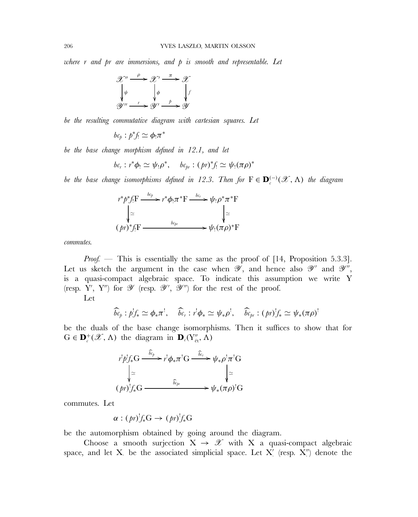*where* r *and* pr *are immersions, and* p *is smooth and representable. Let*



*be the resulting commutative diagram with cartesian squares. Let*

 $bc_p: p^*f_! \simeq \phi_!\pi^*$ 

*be the base change morphism defined in 12.1, and let*

$$
bc_r: r^*\phi_! \simeq \psi_!\rho^*, \quad bc_{pr}: (pr)^*f_! \simeq \psi_!(\pi\rho)^*
$$

*be the base change isomorphisms defined in 12.3. Then for*  $F \in \mathbf{D}_{c}^{(-)}(\mathscr{X}, \Lambda)$  *the diagram* 

$$
r^*p^*f_!F \xrightarrow{bc_p} r^*\phi_! \pi^*F \xrightarrow{bc_r} \psi_! \rho^* \pi^*F
$$
  
\n
$$
\downarrow \simeq \qquad \qquad \downarrow \simeq
$$
  
\n
$$
(pr)^*f_!F \xrightarrow{bc_{pr}} \psi_! (\pi \rho)^*F
$$

*commutes.*

*Proof.* — This is essentially the same as the proof of [14, Proposition 5.3.3]. Let us sketch the argument in the case when  $\mathscr{Y}$ , and hence also  $\mathscr{Y}'$  and  $\mathscr{Y}''$ . is a quasi-compact algebraic space. To indicate this assumption we write Y (resp. Y', Y'') for  $\mathscr Y$  (resp.  $\mathscr Y',$   $\mathscr Y'')$  for the rest of the proof.

Let

$$
\widehat{bc}_{\rho}: p^!f_* \simeq \phi_*\pi^!, \quad \widehat{bc}_r: r^!\phi_* \simeq \psi_*\rho^!, \quad \widehat{bc}_{\rho r}: (pr)^!f_* \simeq \psi_* (\pi \rho)^!
$$

be the duals of the base change isomorphisms. Then it suffices to show that for  $G \in \mathbf{D}_{c}^{+}(\mathscr{X}, \Lambda)$  the diagram in  $\mathbf{D}_{c}(Y''_{\text{\text{\'et}}}, \Lambda)$ 



commutes. Let

$$
\alpha : (pr)_{\mathscr{F}}^! G \to (pr)_{\mathscr{F}}^! G
$$

be the automorphism obtained by going around the diagram.

Choose a smooth surjection  $X \to \mathscr{X}$  with X a quasi-compact algebraic space, and let X. be the associated simplicial space. Let X' (resp. X'') denote the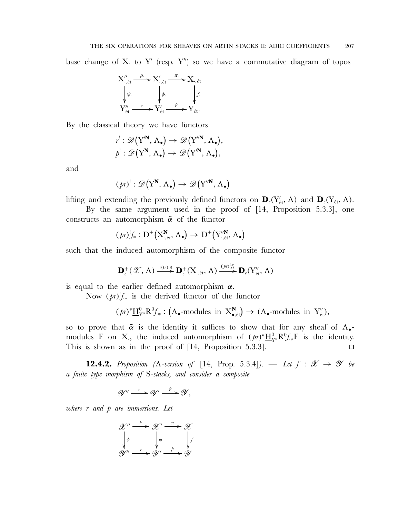base change of X to Y' (resp.  $Y''$ ) so we have a commutative diagram of topos



By the classical theory we have functors

$$
r': \mathscr{D}(Y^N, \Lambda_{\bullet}) \to \mathscr{D}(Y''^N, \Lambda_{\bullet}),
$$
  

$$
p': \mathscr{D}(Y^N, \Lambda_{\bullet}) \to \mathscr{D}(Y'^N, \Lambda_{\bullet}),
$$

and

$$
(\mathit{pr})^! : \mathscr{D}(Y^N, \Lambda_{\bullet}) \to \mathscr{D}(Y''^N, \Lambda_{\bullet})
$$

lifting and extending the previously defined functors on  $\mathbf{D}_c(Y'_{\text{\'et}}, \Lambda)$  and  $\mathbf{D}_c(Y_{\text{\'et}}, \Lambda)$ .

By the same argument used in the proof of [14, Proposition 5.3.3], one constructs an automorphism  $\tilde{\alpha}$  of the functor

$$
(\mathit{pr})^! f_* : D^+ \big( X^{\mathbf{N}}_{\cdot,\text{\'et}}, \Lambda_{\bullet} \big) \to D^+ \big( Y^{\prime\prime \mathbf{N}}_{\cdot,\text{\'et}}, \Lambda_{\bullet} \big)
$$

such that the induced automorphism of the composite functor

$$
\mathbf{D}_{c}^{+}(\mathscr{X},\Lambda)\xrightarrow{10.0.8}\mathbf{D}_{c}^{+}(\mathrm{X}_{\cdot,\mathrm{\acute{e}t}},\Lambda)\xrightarrow{(\mathit{pr})_{\mathit{J}\ast}^{!}}\mathbf{D}_{c}(\mathrm{Y}_{\mathrm{\acute{e}t}}'',\Lambda)
$$

is equal to the earlier defined automorphism  $\alpha$ .

Now  $(pr)!f_{*}$  is the derived functor of the functor

$$
(pr)^*\underline{H}^0_{Y''}R^0f_*: (\Lambda_{\bullet}\text{-modules in } X^N_{\bullet,\text{\'et}}) \to (\Lambda_{\bullet}\text{-modules in } Y''_{\text{\'et}}),
$$

so to prove that  $\tilde{\alpha}$  is the identity it suffices to show that for any sheaf of  $\Lambda_{\bullet}$ modules F on X., the induced automorphism of  $(pr)^* \underline{H}_{Y}^0 R^0 f_* F$  is the identity. This is shown as in the proof of  $[14,$  Proposition 5.3.3].

**12.4.2.** *Proposition* ( $\Lambda$ -version of [14, Prop. 5.3.4]). — Let  $f : \mathcal{X} \rightarrow \mathcal{Y}$  be *a finite type morphism of* S*-stacks, and consider a composite*

$$
\mathscr{Y}'' \xrightarrow{r} \mathscr{Y}' \xrightarrow{\quad p} \mathscr{Y},
$$

*where* r *and* p *are immersions. Let*

$$
\mathcal{X}'' \xrightarrow{\rho} \mathcal{X}' \xrightarrow{\pi} \mathcal{X}
$$
\n
$$
\downarrow \psi \qquad \qquad \downarrow \phi \qquad \qquad \downarrow f
$$
\n
$$
\mathcal{Y}'' \xrightarrow{\ r} \mathcal{Y}' \xrightarrow{\ \rho \qquad \downarrow f}
$$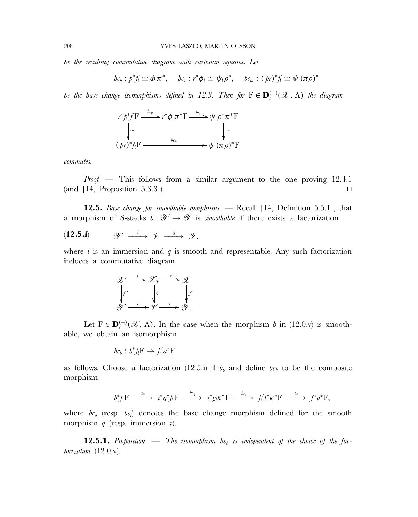*be the resulting commutative diagram with cartesian squares. Let*

$$
bc_p: p^*f_! \simeq \phi_! \pi^*, \quad bc_r: r^*\phi_! \simeq \psi_! \rho^*, \quad bc_{pr}: (pr)^*f_! \simeq \psi_! (\pi \rho)^*
$$

*be the base change isomorphisms defined in 12.3. Then for*  $F \in \mathbf{D}^{(-)}(\mathscr{X}, \Lambda)$  *the diagram* 

$$
r^*p^*\mathbf{f}:\mathbf{F} \xrightarrow{bc_p} r^*\phi_!\pi^*\mathbf{F} \xrightarrow{bc_r} \psi_!\rho^*\pi^*\mathbf{F}
$$
  
\n
$$
\downarrow \simeq \qquad \qquad \downarrow \simeq
$$
  
\n
$$
(pr)^*f_!\mathbf{F} \xrightarrow{bc_{pr}} \psi_!\pi \mathbf{F}
$$

*commutes.*

*Proof.* — This follows from a similar argument to the one proving 12.4.1  $\Box$  (and [14, Proposition 5.3.3]).

**12.5.** *Base change for smoothable morphisms.* — Recall [14, Definition 5.5.1], that a morphism of S-stacks  $b : \mathscr{Y} \to \mathscr{Y}$  is *smoothable* if there exists a factorization

$$
(12.5.i) \t\t\t\t\mathscr{Y}' \xrightarrow{i} \t\t\t\mathscr{Y} \xrightarrow{q} \t\t\t\mathscr{Y},
$$

where i is an immersion and  $q$  is smooth and representable. Any such factorization induces a commutative diagram

$$
\mathcal{X}' \xrightarrow{i} \mathcal{X}_{\mathcal{Y}} \xrightarrow{k} \mathcal{X}
$$
\n
$$
\downarrow f'
$$
\n
$$
\downarrow g'
$$
\n
$$
\mathcal{Y}' \xrightarrow{i} \mathcal{Y} \xrightarrow{q} \mathcal{Y}.
$$

Let  $F \in \mathbf{D}_{c}^{(-)}(\mathscr{X}, \Lambda)$ . In the case when the morphism b in (12.0.v) is smoothable, we obtain an isomorphism

$$
bc_b : b^* f_! F \to f'_! a^* F
$$

as follows. Choose a factorization (12.5.i) if b, and define  $bc_b$  to be the composite morphism

$$
b^*f_!F \xrightarrow{\simeq} i^*q^*f_!F \xrightarrow{bc_q} i^*g_! \kappa^*F \xrightarrow{bc_i} f'_!i^* \kappa^*F \xrightarrow{\simeq} f'_!a^*F,
$$

where  $bc_q$  (resp.  $bc_i$ ) denotes the base change morphism defined for the smooth morphism  $q$  (resp. immersion  $i$ ).

**12.5.1.** Proposition. — The isomorphism  $bc_b$  is independent of the choice of the fac*torization* (12.0.v)*.*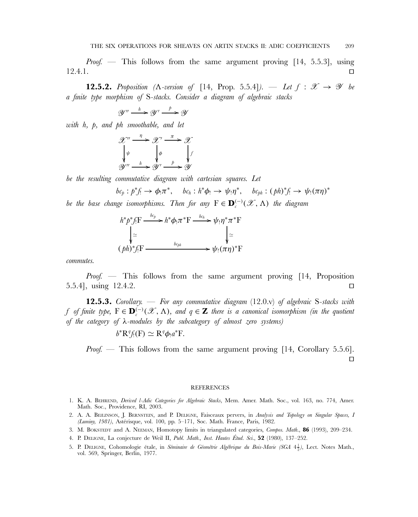*Proof.* — This follows from the same argument proving [14, 5.5.3], using  $12.4.1.$ 

**12.5.2.** *Proposition (* $\Lambda$ *-version of* [14, Prop. 5.5.4]*). — Let*  $f : \mathcal{X} \rightarrow \mathcal{Y}$  be *a finite type morphism of* S*-stacks. Consider a diagram of algebraic stacks*

 $\mathscr{Y}'' \stackrel{h}{\longrightarrow} \mathscr{Y}' \stackrel{p}{\longrightarrow} \mathscr{Y}$ 

*with* h*,* p*, and* ph *smoothable, and let*

$$
\mathcal{X}'' \xrightarrow{n} \mathcal{X}' \xrightarrow{\pi} \mathcal{X}
$$
\n
$$
\downarrow \psi \qquad \qquad \downarrow \phi \qquad \qquad \downarrow f
$$
\n
$$
\mathcal{Y}'' \xrightarrow{h} \mathcal{Y}' \xrightarrow{p} \mathcal{Y}
$$

*be the resulting commutative diagram with cartesian squares. Let*

$$
bc_p: p^*f_! \to \phi_! \pi^*, \quad bc_h: h^*\phi_! \to \psi_! \eta^*, \quad bc_{ph}: (\rho h)^*f_! \to \psi_! (\pi \eta)^*
$$

*be the base change isomorphisms. Then for any*  $F \in \mathbf{D}_{\epsilon}^{(-)}(\mathscr{X}, \Lambda)$  *the diagram* 

$$
h^*p^*f_!F \xrightarrow{bc_p} h^*\phi_! \pi^*F \xrightarrow{bc_h} \psi_! \eta^* \pi^*F
$$
  
\n
$$
\downarrow \simeq \qquad \qquad \downarrow \simeq
$$
  
\n
$$
(ph)^*f_!F \xrightarrow{bc_{ph}} \psi_! (\pi \eta)^*F
$$

*commutes.*

*Proof. —* This follows from the same argument proving [14, Proposition 5.5.4], using 12.4.2. 

**12.5.3.** *Corollary. — For any commutative diagram* (12.0.v) *of algebraic* S*-stacks with* f of finite type,  $F \in \mathbf{D}_{c}^{(-)}(\mathscr{X}, \Lambda)$ , and  $q \in \mathbf{Z}$  there is a canonical isomorphism (in the quotient *of the category of* λ*-modules by the subcategory of almost zero systems)*

$$
b^*R^q f_!(F) \simeq R^q \phi_! a^* F.
$$

*Proof.* — This follows from the same argument proving [14, Corollary 5.5.6].  $\Box$ 

#### REFERENCES

- 1. K. A. BEHREND, *Derived* l*-Adic Categories for Algebraic Stacks*, Mem. Amer. Math. Soc., vol. 163, no. 774, Amer. Math. Soc., Providence, RI, 2003.
- 2. A. A. BE˘ıLINSON, J. BERNSTEIN, and P. DELIGNE, Faisceaux pervers, in *Analysis and Topology on Singular Spaces, I (Luminy, 1981)*, Astérisque, vol. 100, pp. 5–171, Soc. Math. France, Paris, 1982.
- 3. M. BOKSTEDT and A. NEEMAN, Homotopy limits in triangulated categories, *Compos. Math.*, **86** (1993), 209–234.
- 4. P. DELIGNE, La conjecture de Weil II, *Publ. Math., Inst. Hautes Étud. Sci.*, **52** (1980), 137–252.
- 5. P. DELIGNE, Cohomologie étale, in *Séminaire de Géométrie Algébrique du Bois-Marie (SGA* 4<sup>1</sup><sub>2</sub>), Lect. Notes Math., vol. 569, Springer, Berlin, 1977.